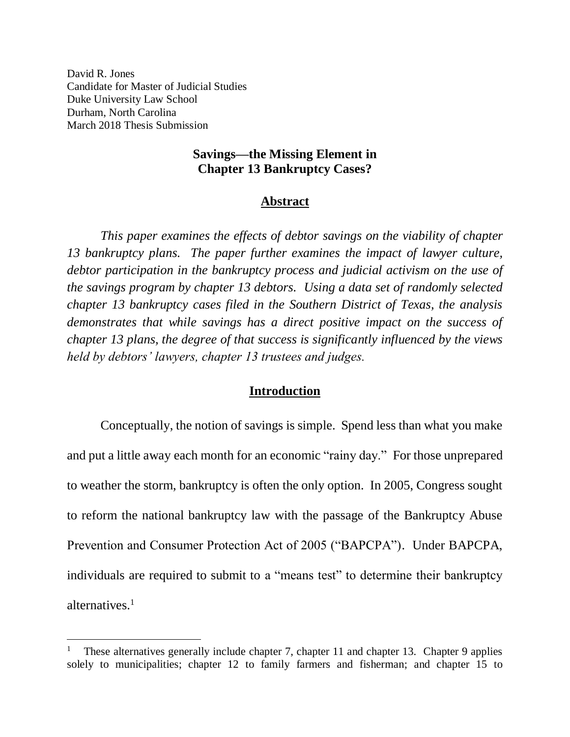David R. Jones Candidate for Master of Judicial Studies Duke University Law School Durham, North Carolina March 2018 Thesis Submission

 $\overline{a}$ 

### **Savings—the Missing Element in Chapter 13 Bankruptcy Cases?**

### **Abstract**

*This paper examines the effects of debtor savings on the viability of chapter 13 bankruptcy plans. The paper further examines the impact of lawyer culture, debtor participation in the bankruptcy process and judicial activism on the use of the savings program by chapter 13 debtors. Using a data set of randomly selected chapter 13 bankruptcy cases filed in the Southern District of Texas, the analysis demonstrates that while savings has a direct positive impact on the success of chapter 13 plans, the degree of that success is significantly influenced by the views held by debtors' lawyers, chapter 13 trustees and judges.* 

#### **Introduction**

Conceptually, the notion of savings is simple. Spend less than what you make and put a little away each month for an economic "rainy day." For those unprepared to weather the storm, bankruptcy is often the only option. In 2005, Congress sought to reform the national bankruptcy law with the passage of the Bankruptcy Abuse Prevention and Consumer Protection Act of 2005 ("BAPCPA"). Under BAPCPA, individuals are required to submit to a "means test" to determine their bankruptcy alternatives.<sup>1</sup>

<sup>1</sup> These alternatives generally include chapter 7, chapter 11 and chapter 13. Chapter 9 applies solely to municipalities; chapter 12 to family farmers and fisherman; and chapter 15 to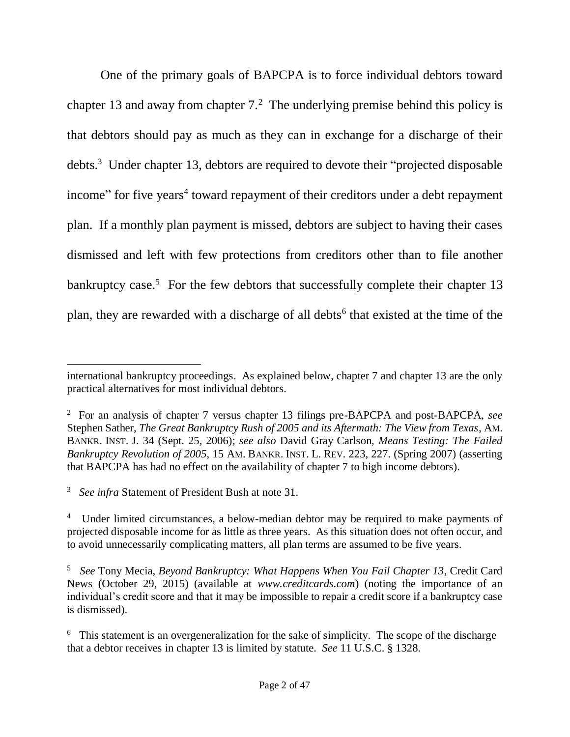<span id="page-1-0"></span>One of the primary goals of BAPCPA is to force individual debtors toward chapter 13 and away from chapter  $7<sup>2</sup>$ . The underlying premise behind this policy is that debtors should pay as much as they can in exchange for a discharge of their debts.<sup>3</sup> Under chapter 13, debtors are required to devote their "projected disposable income" for five years<sup>4</sup> toward repayment of their creditors under a debt repayment plan. If a monthly plan payment is missed, debtors are subject to having their cases dismissed and left with few protections from creditors other than to file another bankruptcy case.<sup>5</sup> For the few debtors that successfully complete their chapter 13 plan, they are rewarded with a discharge of all debts<sup>6</sup> that existed at the time of the

international bankruptcy proceedings. As explained below, chapter 7 and chapter 13 are the only practical alternatives for most individual debtors.

<sup>2</sup> For an analysis of chapter 7 versus chapter 13 filings pre-BAPCPA and post-BAPCPA, *see* Stephen Sather, *The Great Bankruptcy Rush of 2005 and its Aftermath: The View from Texas*, AM. BANKR. INST. J. 34 (Sept. 25, 2006); *see also* David Gray Carlson, *Means Testing: The Failed Bankruptcy Revolution of 2005*, 15 AM. BANKR. INST. L. REV. 223, 227. (Spring 2007) (asserting that BAPCPA has had no effect on the availability of chapter 7 to high income debtors).

<sup>3</sup> *See infra* Statement of President Bush at note [31.](#page-8-0)

<sup>&</sup>lt;sup>4</sup> Under limited circumstances, a below-median debtor may be required to make payments of projected disposable income for as little as three years. As this situation does not often occur, and to avoid unnecessarily complicating matters, all plan terms are assumed to be five years.

<sup>5</sup> *See* Tony Mecia, *Beyond Bankruptcy: What Happens When You Fail Chapter 13*, Credit Card News (October 29, 2015) (available at *www.creditcards.com*) (noting the importance of an individual's credit score and that it may be impossible to repair a credit score if a bankruptcy case is dismissed).

<sup>&</sup>lt;sup>6</sup> This statement is an overgeneralization for the sake of simplicity. The scope of the discharge that a debtor receives in chapter 13 is limited by statute. *See* 11 U.S.C. § 1328.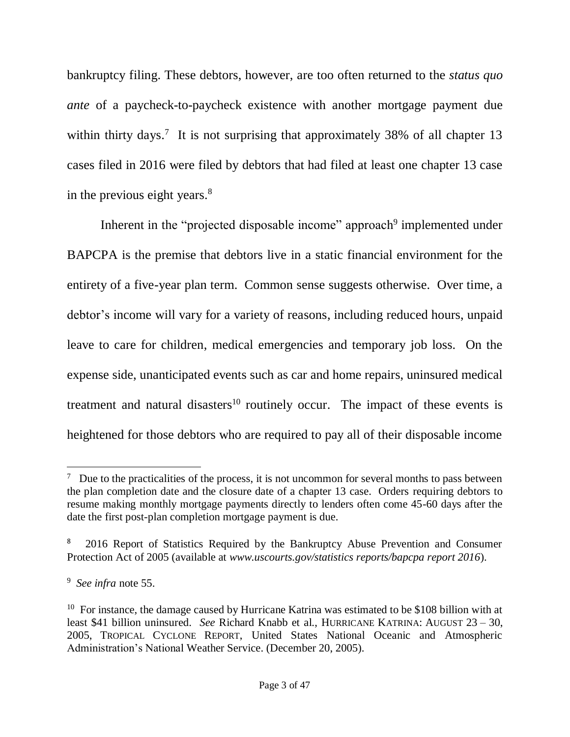bankruptcy filing. These debtors, however, are too often returned to the *status quo ante* of a paycheck-to-paycheck existence with another mortgage payment due within thirty days.<sup>7</sup> It is not surprising that approximately 38% of all chapter 13 cases filed in 2016 were filed by debtors that had filed at least one chapter 13 case in the previous eight years. $8<sup>8</sup>$ 

Inherent in the "projected disposable income" approach<sup>9</sup> implemented under BAPCPA is the premise that debtors live in a static financial environment for the entirety of a five-year plan term. Common sense suggests otherwise. Over time, a debtor's income will vary for a variety of reasons, including reduced hours, unpaid leave to care for children, medical emergencies and temporary job loss. On the expense side, unanticipated events such as car and home repairs, uninsured medical treatment and natural disasters<sup>10</sup> routinely occur. The impact of these events is heightened for those debtors who are required to pay all of their disposable income

 $7$  Due to the practicalities of the process, it is not uncommon for several months to pass between the plan completion date and the closure date of a chapter 13 case. Orders requiring debtors to resume making monthly mortgage payments directly to lenders often come 45-60 days after the date the first post-plan completion mortgage payment is due.

<sup>8</sup> 2016 Report of Statistics Required by the Bankruptcy Abuse Prevention and Consumer Protection Act of 2005 (available at *www.uscourts.gov/statistics reports/bapcpa report 2016*).

<sup>9</sup> *See infra* note [55.](#page-13-0)

<sup>&</sup>lt;sup>10</sup> For instance, the damage caused by Hurricane Katrina was estimated to be \$108 billion with at least \$41 billion uninsured. *See* Richard Knabb et al., HURRICANE KATRINA: AUGUST 23 – 30, 2005, TROPICAL CYCLONE REPORT, United States National Oceanic and Atmospheric Administration's National Weather Service. (December 20, 2005).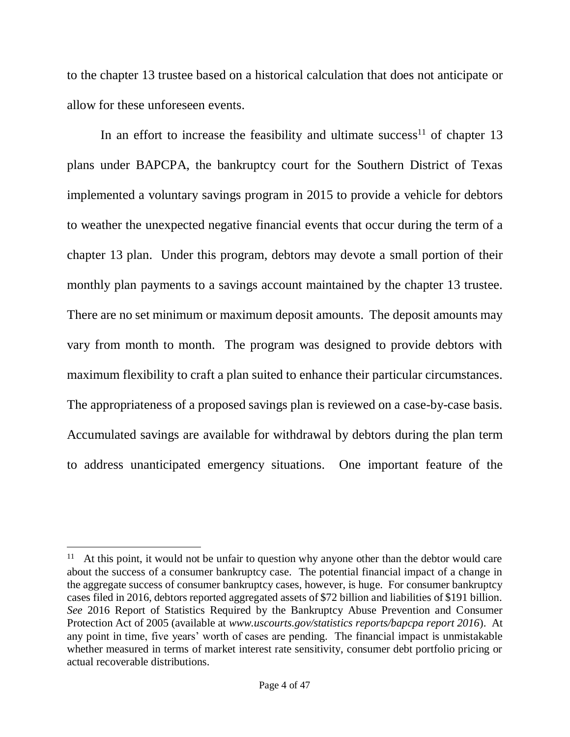to the chapter 13 trustee based on a historical calculation that does not anticipate or allow for these unforeseen events.

In an effort to increase the feasibility and ultimate success<sup>11</sup> of chapter 13 plans under BAPCPA, the bankruptcy court for the Southern District of Texas implemented a voluntary savings program in 2015 to provide a vehicle for debtors to weather the unexpected negative financial events that occur during the term of a chapter 13 plan. Under this program, debtors may devote a small portion of their monthly plan payments to a savings account maintained by the chapter 13 trustee. There are no set minimum or maximum deposit amounts. The deposit amounts may vary from month to month. The program was designed to provide debtors with maximum flexibility to craft a plan suited to enhance their particular circumstances. The appropriateness of a proposed savings plan is reviewed on a case-by-case basis. Accumulated savings are available for withdrawal by debtors during the plan term to address unanticipated emergency situations. One important feature of the

<sup>&</sup>lt;sup>11</sup> At this point, it would not be unfair to question why anyone other than the debtor would care about the success of a consumer bankruptcy case. The potential financial impact of a change in the aggregate success of consumer bankruptcy cases, however, is huge. For consumer bankruptcy cases filed in 2016, debtors reported aggregated assets of \$72 billion and liabilities of \$191 billion. *See* 2016 Report of Statistics Required by the Bankruptcy Abuse Prevention and Consumer Protection Act of 2005 (available at *www.uscourts.gov/statistics reports/bapcpa report 2016*). At any point in time, five years' worth of cases are pending. The financial impact is unmistakable whether measured in terms of market interest rate sensitivity, consumer debt portfolio pricing or actual recoverable distributions.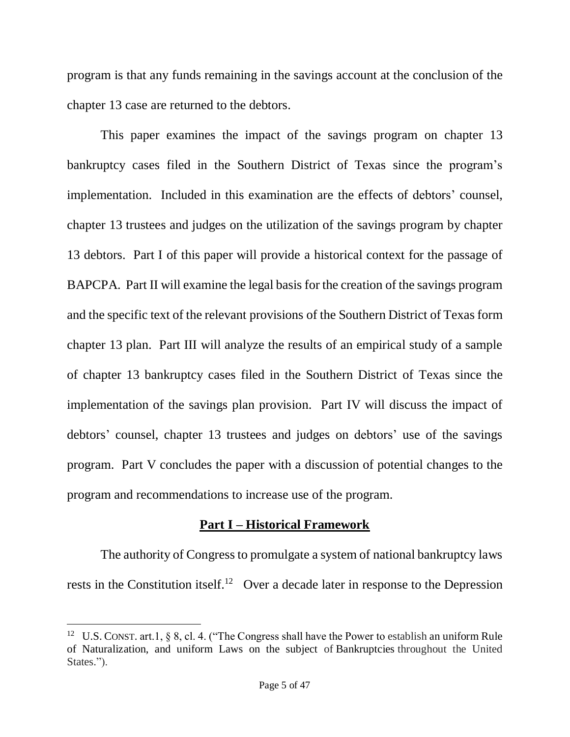program is that any funds remaining in the savings account at the conclusion of the chapter 13 case are returned to the debtors.

This paper examines the impact of the savings program on chapter 13 bankruptcy cases filed in the Southern District of Texas since the program's implementation. Included in this examination are the effects of debtors' counsel, chapter 13 trustees and judges on the utilization of the savings program by chapter 13 debtors. Part I of this paper will provide a historical context for the passage of BAPCPA. Part II will examine the legal basis for the creation of the savings program and the specific text of the relevant provisions of the Southern District of Texas form chapter 13 plan. Part III will analyze the results of an empirical study of a sample of chapter 13 bankruptcy cases filed in the Southern District of Texas since the implementation of the savings plan provision. Part IV will discuss the impact of debtors' counsel, chapter 13 trustees and judges on debtors' use of the savings program. Part V concludes the paper with a discussion of potential changes to the program and recommendations to increase use of the program.

## **Part I – Historical Framework**

The authority of Congress to promulgate a system of national bankruptcy laws rests in the Constitution itself.<sup>12</sup> Over a decade later in response to the Depression

<sup>&</sup>lt;sup>12</sup> U.S. CONST. art.1, § 8, cl. 4. ("The Congress shall have the Power to establish an uniform Rule of Naturalization, and uniform Laws on the subject of Bankruptcies throughout the United States.").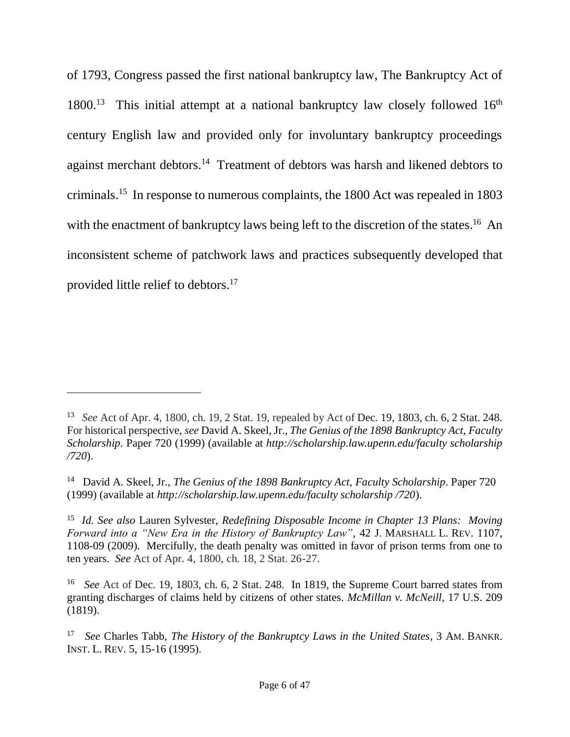of 1793, Congress passed the first national bankruptcy law, The Bankruptcy Act of 1800.<sup>13</sup> This initial attempt at a national bankruptcy law closely followed 16<sup>th</sup> century English law and provided only for involuntary bankruptcy proceedings against merchant debtors.<sup>14</sup> Treatment of debtors was harsh and likened debtors to criminals. 15 In response to numerous complaints, the 1800 Act was repealed in 1803 with the enactment of bankruptcy laws being left to the discretion of the states.<sup>16</sup> An inconsistent scheme of patchwork laws and practices subsequently developed that provided little relief to debtors. 17

<sup>13</sup> *See* Act of Apr. 4, 1800, ch. 19, 2 Stat. 19, repealed by Act of Dec. 19, 1803, ch. 6, 2 Stat. 248. For historical perspective, *see* David A. Skeel, Jr., *The Genius of the 1898 Bankruptcy Act*, *Faculty Scholarship*. Paper 720 (1999) (available at *http://scholarship.law.upenn.edu/faculty scholarship /720*).

<sup>14</sup> David A. Skeel, Jr., *The Genius of the 1898 Bankruptcy Act*, *Faculty Scholarship*. Paper 720 (1999) (available at *http://scholarship.law.upenn.edu/faculty scholarship /720*).

<sup>15</sup> *Id. See also* Lauren Sylvester, *Redefining Disposable Income in Chapter 13 Plans: Moving Forward into a "New Era in the History of Bankruptcy Law"*, 42 J. MARSHALL L. REV. 1107, 1108-09 (2009). Mercifully, the death penalty was omitted in favor of prison terms from one to ten years. *See* Act of Apr. 4, 1800, ch. 18, 2 Stat. 26-27.

<sup>16</sup> *See* Act of Dec. 19, 1803, ch. 6, 2 Stat. 248. In 1819, the Supreme Court barred states from granting discharges of claims held by citizens of other states. *McMillan v. McNeill*, 17 U.S. 209 (1819).

<sup>17</sup> *See* Charles Tabb, *The History of the Bankruptcy Laws in the United States*, 3 AM. BANKR. INST. L. REV. 5, 15-16 (1995).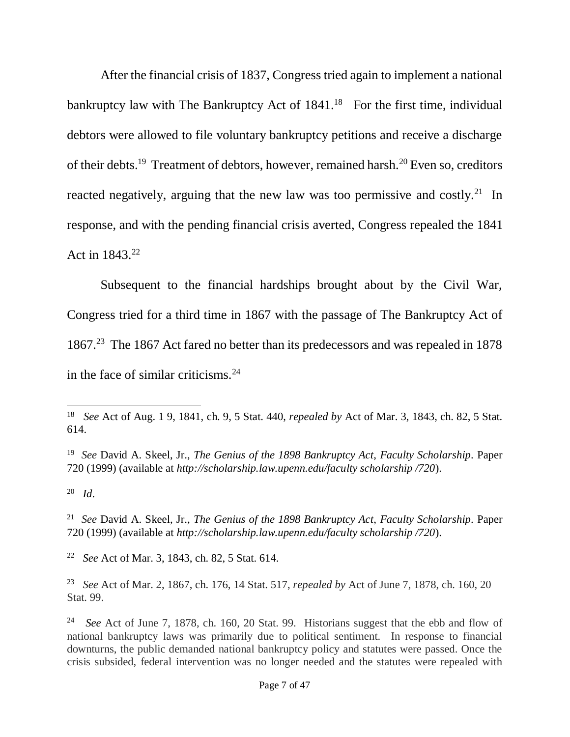After the financial crisis of 1837, Congress tried again to implement a national bankruptcy law with The Bankruptcy Act of  $1841<sup>18</sup>$  For the first time, individual debtors were allowed to file voluntary bankruptcy petitions and receive a discharge of their debts.<sup>19</sup> Treatment of debtors, however, remained harsh.<sup>20</sup> Even so, creditors reacted negatively, arguing that the new law was too permissive and costly.<sup>21</sup> In response, and with the pending financial crisis averted, Congress repealed the 1841 Act in  $1843.^{22}$ 

Subsequent to the financial hardships brought about by the Civil War, Congress tried for a third time in 1867 with the passage of The Bankruptcy Act of 1867.<sup>23</sup> The 1867 Act fared no better than its predecessors and was repealed in 1878 in the face of similar criticisms. $24$ 

20 *Id*.

 $\overline{a}$ 

22 *See* Act of Mar. 3, 1843, ch. 82, 5 Stat. 614.

<sup>18</sup> *See* Act of Aug. 1 9, 1841, ch. 9, 5 Stat. 440, *repealed by* Act of Mar. 3, 1843, ch. 82, 5 Stat. 614.

<sup>19</sup> *See* David A. Skeel, Jr., *The Genius of the 1898 Bankruptcy Act*, *Faculty Scholarship*. Paper 720 (1999) (available at *http://scholarship.law.upenn.edu/faculty scholarship /720*).

<sup>21</sup> *See* David A. Skeel, Jr., *The Genius of the 1898 Bankruptcy Act*, *Faculty Scholarship*. Paper 720 (1999) (available at *http://scholarship.law.upenn.edu/faculty scholarship /720*).

<sup>23</sup> *See* Act of Mar. 2, 1867, ch. 176, 14 Stat. 517, *repealed by* Act of June 7, 1878, ch. 160, 20 Stat. 99.

<sup>24</sup> *See* Act of June 7, 1878, ch. 160, 20 Stat. 99. Historians suggest that the ebb and flow of national bankruptcy laws was primarily due to political sentiment. In response to financial downturns, the public demanded national bankruptcy policy and statutes were passed. Once the crisis subsided, federal intervention was no longer needed and the statutes were repealed with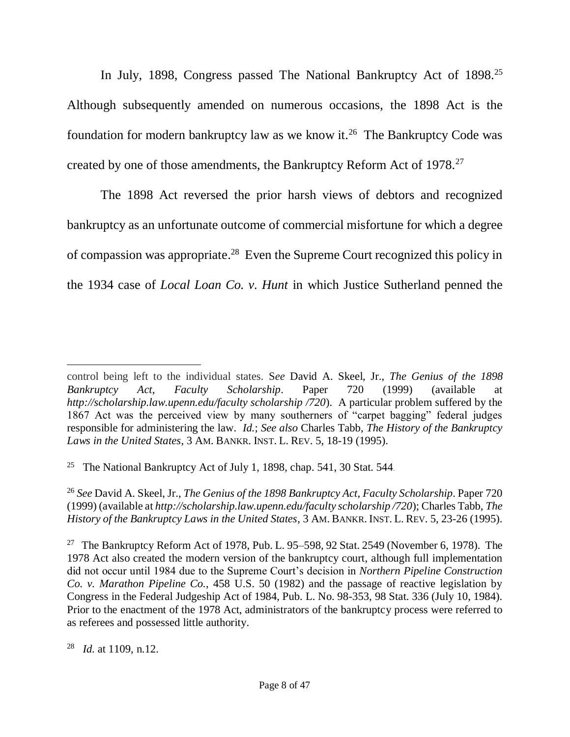In July, 1898, Congress passed The National Bankruptcy Act of 1898.<sup>25</sup> Although subsequently amended on numerous occasions, the 1898 Act is the foundation for modern bankruptcy law as we know it. 26 The Bankruptcy Code was created by one of those amendments, the Bankruptcy Reform Act of 1978.<sup>27</sup>

The 1898 Act reversed the prior harsh views of debtors and recognized bankruptcy as an unfortunate outcome of commercial misfortune for which a degree of compassion was appropriate.<sup>28</sup> Even the Supreme Court recognized this policy in the 1934 case of *Local Loan Co. v. Hunt* in which Justice Sutherland penned the

<sup>25</sup> The National Bankruptcy Act of July 1, 1898, chap. 541, 30 Stat. 544.

<sup>26</sup> *See* David A. Skeel, Jr., *The Genius of the 1898 Bankruptcy Act*, *Faculty Scholarship*. Paper 720 (1999) (available at *http://scholarship.law.upenn.edu/faculty scholarship /720*); Charles Tabb, *The History of the Bankruptcy Laws in the United States*, 3 AM. BANKR. INST. L. REV. 5, 23-26 (1995).

control being left to the individual states. S*ee* David A. Skeel, Jr., *The Genius of the 1898 Bankruptcy Act*, *Faculty Scholarship*. Paper 720 (1999) (available at *http://scholarship.law.upenn.edu/faculty scholarship /720*). A particular problem suffered by the 1867 Act was the perceived view by many southerners of "carpet bagging" federal judges responsible for administering the law. *Id.*; *See also* Charles Tabb, *The History of the Bankruptcy Laws in the United States*, 3 AM. BANKR. INST. L. REV. 5, 18-19 (1995).

<sup>&</sup>lt;sup>27</sup> The Bankruptcy Reform Act of 1978, Pub. L. 95–598, 92 Stat. 2549 (November 6, 1978). The 1978 Act also created the modern version of the bankruptcy court, although full implementation did not occur until 1984 due to the Supreme Court's decision in *Northern Pipeline Construction Co. v. Marathon Pipeline Co.*, 458 U.S. 50 (1982) and the passage of reactive legislation by Congress in the Federal Judgeship Act of 1984, Pub. L. No. 98-353, 98 Stat. 336 (July 10, 1984). Prior to the enactment of the 1978 Act, administrators of the bankruptcy process were referred to as referees and possessed little authority.

<sup>28</sup> *Id.* at 1109, n.12.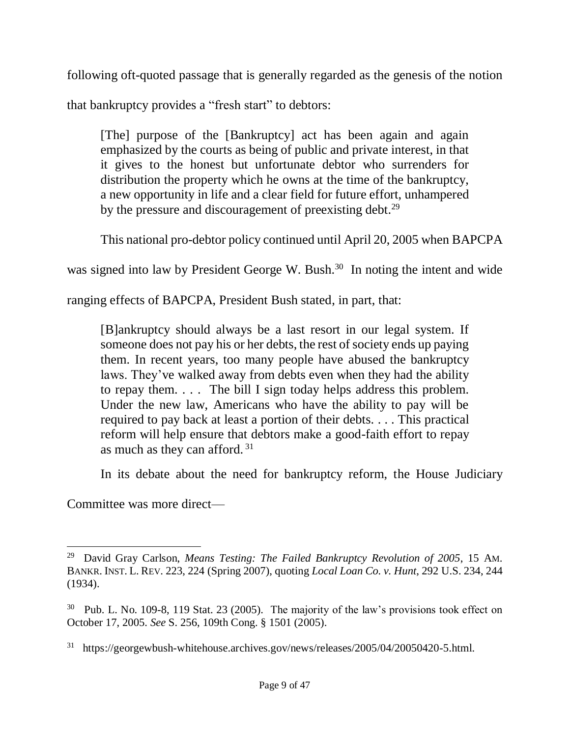following oft-quoted passage that is generally regarded as the genesis of the notion

that bankruptcy provides a "fresh start" to debtors:

[The] purpose of the [Bankruptcy] act has been again and again emphasized by the courts as being of public and private interest, in that it gives to the honest but unfortunate debtor who surrenders for distribution the property which he owns at the time of the bankruptcy, a new opportunity in life and a clear field for future effort, unhampered by the pressure and discouragement of preexisting debt.<sup>29</sup>

This national pro-debtor policy continued until April 20, 2005 when BAPCPA

was signed into law by President George W. Bush.<sup>30</sup> In noting the intent and wide

ranging effects of BAPCPA, President Bush stated, in part, that:

[B]ankruptcy should always be a last resort in our legal system. If someone does not pay his or her debts, the rest of society ends up paying them. In recent years, too many people have abused the bankruptcy laws. They've walked away from debts even when they had the ability to repay them. . . . The bill I sign today helps address this problem. Under the new law, Americans who have the ability to pay will be required to pay back at least a portion of their debts. . . . This practical reform will help ensure that debtors make a good-faith effort to repay as much as they can afford. <sup>31</sup>

<span id="page-8-0"></span>In its debate about the need for bankruptcy reform, the House Judiciary

Committee was more direct—

<sup>29</sup> David Gray Carlson, *Means Testing: The Failed Bankruptcy Revolution of 2005*, 15 AM. BANKR. INST. L. REV. 223, 224 (Spring 2007), quoting *Local Loan Co. v. Hunt*, 292 U.S. 234, 244 (1934).

<sup>&</sup>lt;sup>30</sup> Pub. L. No. 109-8, 119 Stat. 23 (2005). The majority of the law's provisions took effect on October 17, 2005. *See* S. 256, 109th Cong. § 1501 (2005).

<sup>&</sup>lt;sup>31</sup> https://georgewbush-whitehouse.archives.gov/news/releases/2005/04/20050420-5.html.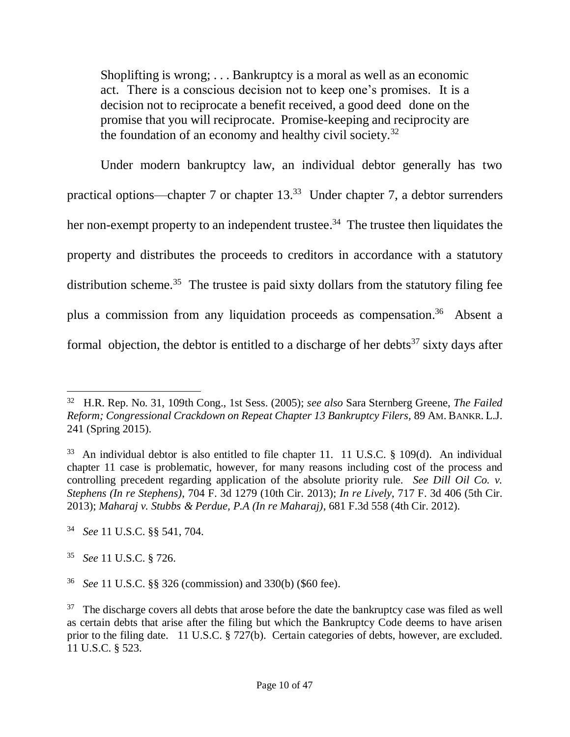Shoplifting is wrong; . . . Bankruptcy is a moral as well as an economic act. There is a conscious decision not to keep one's promises. It is a decision not to reciprocate a benefit received, a good deed done on the promise that you will reciprocate. Promise-keeping and reciprocity are the foundation of an economy and healthy civil society.<sup>32</sup>

Under modern bankruptcy law, an individual debtor generally has two practical options—chapter 7 or chapter  $13<sup>33</sup>$  Under chapter 7, a debtor surrenders her non-exempt property to an independent trustee.<sup>34</sup> The trustee then liquidates the property and distributes the proceeds to creditors in accordance with a statutory distribution scheme.<sup>35</sup> The trustee is paid sixty dollars from the statutory filing fee plus a commission from any liquidation proceeds as compensation.<sup>36</sup> Absent a formal objection, the debtor is entitled to a discharge of her debts<sup>37</sup> sixty days after

<sup>32</sup> H.R. Rep. No. 31, 109th Cong., 1st Sess. (2005); *see also* Sara Sternberg Greene, *The Failed Reform; Congressional Crackdown on Repeat Chapter 13 Bankruptcy Filers,* 89 AM. BANKR. L.J. 241 (Spring 2015).

 $33$  An individual debtor is also entitled to file chapter 11. 11 U.S.C. § 109(d). An individual chapter 11 case is problematic, however, for many reasons including cost of the process and controlling precedent regarding application of the absolute priority rule. *See Dill Oil Co. v. Stephens (In re Stephens)*, 704 F. 3d 1279 (10th Cir. 2013); *In re Lively*, 717 F. 3d 406 (5th Cir. 2013); *Maharaj v. Stubbs & Perdue, P.A (In re Maharaj)*, 681 F.3d 558 (4th Cir. 2012).

<sup>34</sup> *See* 11 U.S.C. §§ 541, 704.

<sup>35</sup>  *See* 11 U.S.C. § 726.

<sup>36</sup> *See* 11 U.S.C. §§ 326 (commission) and 330(b) (\$60 fee).

<sup>37</sup> The discharge covers all debts that arose before the date the bankruptcy case was filed as well as certain debts that arise after the filing but which the Bankruptcy Code deems to have arisen prior to the filing date. 11 U.S.C. § 727(b). Certain categories of debts, however, are excluded. 11 U.S.C. § 523.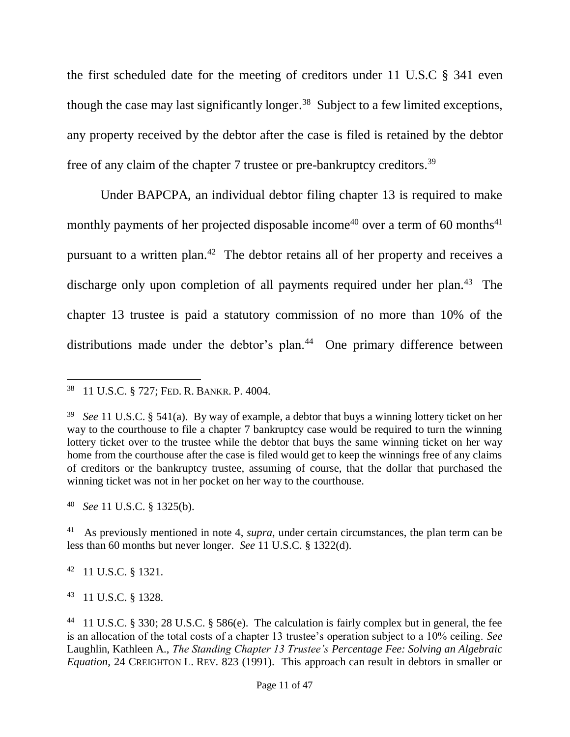the first scheduled date for the meeting of creditors under 11 U.S.C § 341 even though the case may last significantly longer.<sup>38</sup> Subject to a few limited exceptions, any property received by the debtor after the case is filed is retained by the debtor free of any claim of the chapter 7 trustee or pre-bankruptcy creditors.<sup>39</sup>

Under BAPCPA, an individual debtor filing chapter 13 is required to make monthly payments of her projected disposable income<sup>40</sup> over a term of 60 months<sup>41</sup> pursuant to a written plan.<sup>42</sup> The debtor retains all of her property and receives a discharge only upon completion of all payments required under her plan.<sup>43</sup> The chapter 13 trustee is paid a statutory commission of no more than 10% of the distributions made under the debtor's plan.<sup>44</sup> One primary difference between

42 11 U.S.C. § 1321.

 $\overline{a}$ 

43 11 U.S.C. § 1328.

<sup>38</sup> 11 U.S.C. § 727; FED. R. BANKR. P. 4004.

<sup>39</sup>  *See* 11 U.S.C. § 541(a). By way of example, a debtor that buys a winning lottery ticket on her way to the courthouse to file a chapter 7 bankruptcy case would be required to turn the winning lottery ticket over to the trustee while the debtor that buys the same winning ticket on her way home from the courthouse after the case is filed would get to keep the winnings free of any claims of creditors or the bankruptcy trustee, assuming of course, that the dollar that purchased the winning ticket was not in her pocket on her way to the courthouse.

<sup>40</sup> *See* 11 U.S.C. § 1325(b).

<sup>41</sup> As previously mentioned in note [4,](#page-1-0) *supra*, under certain circumstances, the plan term can be less than 60 months but never longer. *See* 11 U.S.C. § 1322(d).

<sup>&</sup>lt;sup>44</sup> 11 U.S.C. § 330; 28 U.S.C. § 586(e). The calculation is fairly complex but in general, the fee is an allocation of the total costs of a chapter 13 trustee's operation subject to a 10% ceiling. *See* Laughlin, Kathleen A., *The Standing Chapter 13 Trustee's Percentage Fee: Solving an Algebraic Equation*, 24 CREIGHTON L. REV. 823 (1991). This approach can result in debtors in smaller or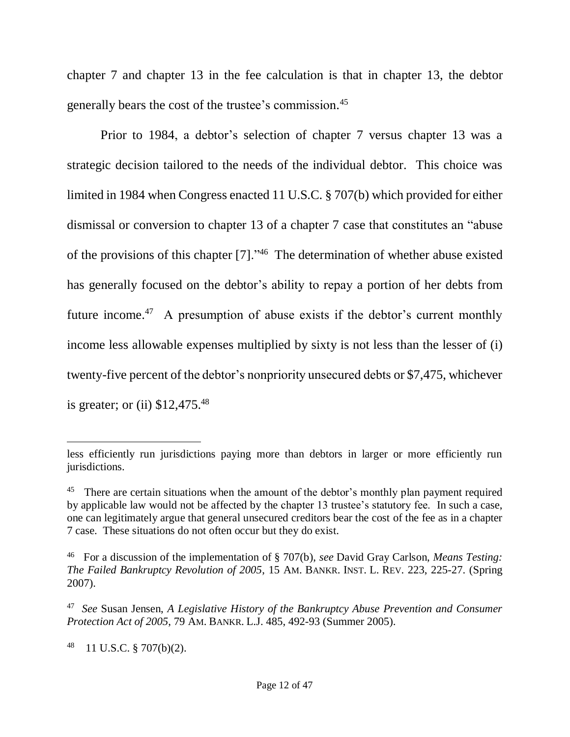chapter 7 and chapter 13 in the fee calculation is that in chapter 13, the debtor generally bears the cost of the trustee's commission. 45

Prior to 1984, a debtor's selection of chapter 7 versus chapter 13 was a strategic decision tailored to the needs of the individual debtor. This choice was limited in 1984 when Congress enacted 11 U.S.C. § 707(b) which provided for either dismissal or conversion to chapter 13 of a chapter 7 case that constitutes an "abuse of the provisions of this chapter [7]."<sup>46</sup> The determination of whether abuse existed has generally focused on the debtor's ability to repay a portion of her debts from future income.<sup>47</sup> A presumption of abuse exists if the debtor's current monthly income less allowable expenses multiplied by sixty is not less than the lesser of (i) twenty-five percent of the debtor's nonpriority unsecured debts or \$7,475, whichever is greater; or (ii) \$12,475.<sup>48</sup>

48 11 U.S.C. § 707(b)(2).

less efficiently run jurisdictions paying more than debtors in larger or more efficiently run jurisdictions.

<sup>&</sup>lt;sup>45</sup> There are certain situations when the amount of the debtor's monthly plan payment required by applicable law would not be affected by the chapter 13 trustee's statutory fee. In such a case, one can legitimately argue that general unsecured creditors bear the cost of the fee as in a chapter 7 case. These situations do not often occur but they do exist.

<sup>46</sup> For a discussion of the implementation of § 707(b), *see* David Gray Carlson, *Means Testing: The Failed Bankruptcy Revolution of 2005*, 15 AM. BANKR. INST. L. REV. 223, 225-27. (Spring 2007).

<sup>47</sup> *See* Susan Jensen, *A Legislative History of the Bankruptcy Abuse Prevention and Consumer Protection Act of 2005*, 79 AM. BANKR. L.J. 485, 492-93 (Summer 2005).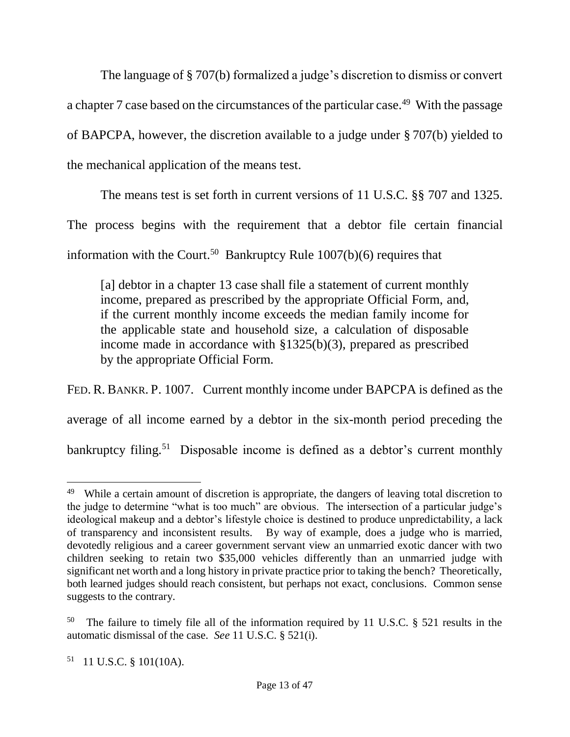The language of § 707(b) formalized a judge's discretion to dismiss or convert a chapter 7 case based on the circumstances of the particular case.<sup>49</sup> With the passage of BAPCPA, however, the discretion available to a judge under § 707(b) yielded to the mechanical application of the means test.

The means test is set forth in current versions of 11 U.S.C. §§ 707 and 1325.

The process begins with the requirement that a debtor file certain financial

information with the Court.<sup>50</sup> Bankruptcy Rule  $1007(b)(6)$  requires that

[a] debtor in a chapter 13 case shall file a statement of current monthly income, prepared as prescribed by the appropriate Official Form, and, if the current monthly income exceeds the median family income for the applicable state and household size, a calculation of disposable income made in accordance with §1325(b)(3), prepared as prescribed by the appropriate Official Form.

FED. R. BANKR. P. 1007. Current monthly income under BAPCPA is defined as the average of all income earned by a debtor in the six-month period preceding the

bankruptcy filing.<sup>51</sup> Disposable income is defined as a debtor's current monthly

 $\overline{a}$ <sup>49</sup> While a certain amount of discretion is appropriate, the dangers of leaving total discretion to the judge to determine "what is too much" are obvious. The intersection of a particular judge's ideological makeup and a debtor's lifestyle choice is destined to produce unpredictability, a lack of transparency and inconsistent results. By way of example, does a judge who is married, devotedly religious and a career government servant view an unmarried exotic dancer with two children seeking to retain two \$35,000 vehicles differently than an unmarried judge with significant net worth and a long history in private practice prior to taking the bench? Theoretically, both learned judges should reach consistent, but perhaps not exact, conclusions. Common sense suggests to the contrary.

<sup>&</sup>lt;sup>50</sup> The failure to timely file all of the information required by 11 U.S.C. § 521 results in the automatic dismissal of the case. *See* 11 U.S.C. § 521(i).

 $51$  11 U.S.C. § 101(10A).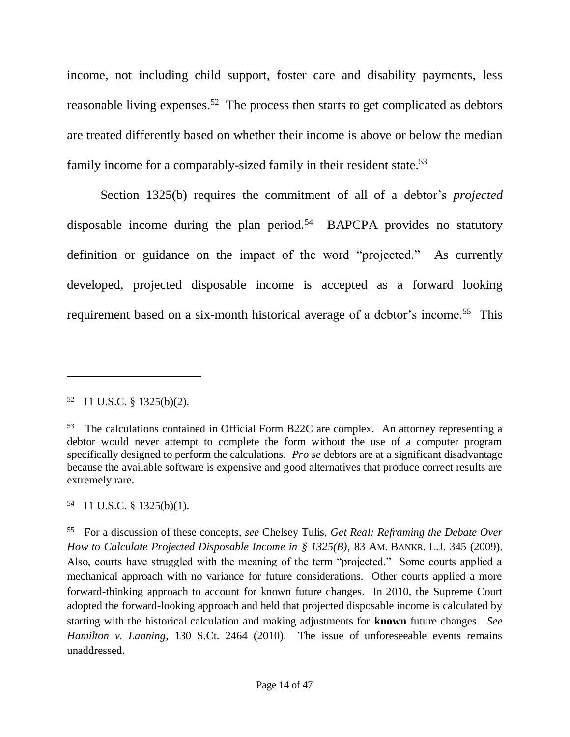income, not including child support, foster care and disability payments, less reasonable living expenses.<sup>52</sup> The process then starts to get complicated as debtors are treated differently based on whether their income is above or below the median family income for a comparably-sized family in their resident state.<sup>53</sup>

Section 1325(b) requires the commitment of all of a debtor's *projected* disposable income during the plan period.<sup>54</sup> BAPCPA provides no statutory definition or guidance on the impact of the word "projected." As currently developed, projected disposable income is accepted as a forward looking requirement based on a six-month historical average of a debtor's income.<sup>55</sup> This

<span id="page-13-0"></span> $\overline{a}$ 

54 11 U.S.C. § 1325(b)(1).

 $52$  11 U.S.C. § 1325(b)(2).

<sup>&</sup>lt;sup>53</sup> The calculations contained in Official Form B22C are complex. An attorney representing a debtor would never attempt to complete the form without the use of a computer program specifically designed to perform the calculations. *Pro se* debtors are at a significant disadvantage because the available software is expensive and good alternatives that produce correct results are extremely rare.

<sup>55</sup> For a discussion of these concepts, *see* Chelsey Tulis, *Get Real: Reframing the Debate Over How to Calculate Projected Disposable Income in § 1325(B)*, 83 AM. BANKR. L.J. 345 (2009). Also, courts have struggled with the meaning of the term "projected." Some courts applied a mechanical approach with no variance for future considerations. Other courts applied a more forward-thinking approach to account for known future changes. In 2010, the Supreme Court adopted the forward-looking approach and held that projected disposable income is calculated by starting with the historical calculation and making adjustments for **known** future changes. *See Hamilton v. Lanning*, 130 S.Ct. 2464 (2010). The issue of unforeseeable events remains unaddressed.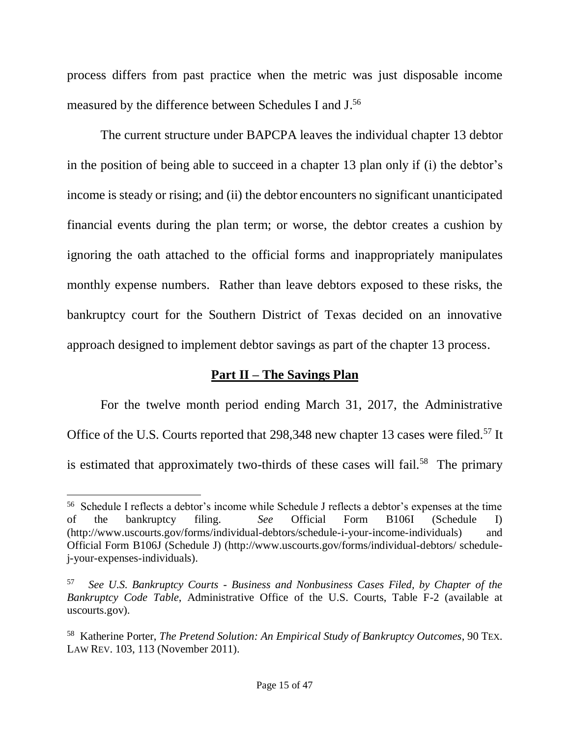process differs from past practice when the metric was just disposable income measured by the difference between Schedules I and J.<sup>56</sup>

The current structure under BAPCPA leaves the individual chapter 13 debtor in the position of being able to succeed in a chapter 13 plan only if (i) the debtor's income is steady or rising; and (ii) the debtor encounters no significant unanticipated financial events during the plan term; or worse, the debtor creates a cushion by ignoring the oath attached to the official forms and inappropriately manipulates monthly expense numbers. Rather than leave debtors exposed to these risks, the bankruptcy court for the Southern District of Texas decided on an innovative approach designed to implement debtor savings as part of the chapter 13 process.

## **Part II – The Savings Plan**

For the twelve month period ending March 31, 2017, the Administrative Office of the U.S. Courts reported that 298,348 new chapter 13 cases were filed.<sup>57</sup> It is estimated that approximately two-thirds of these cases will fail.<sup>58</sup> The primary

<sup>56</sup> Schedule I reflects a debtor's income while Schedule J reflects a debtor's expenses at the time of the bankruptcy filing. *See* Official Form B106I (Schedule I) (http://www.uscourts.gov/forms/individual-debtors/schedule-i-your-income-individuals) and Official Form B106J (Schedule J) (http://www.uscourts.gov/forms/individual-debtors/ schedulej-your-expenses-individuals).

<sup>57</sup> *See U.S. Bankruptcy Courts - Business and Nonbusiness Cases Filed, by Chapter of the Bankruptcy Code Table*, Administrative Office of the U.S. Courts, Table F-2 (available at uscourts.gov).

<sup>58</sup> Katherine Porter, *The Pretend Solution: An Empirical Study of Bankruptcy Outcomes*, 90 TEX. LAW REV. 103, 113 (November 2011).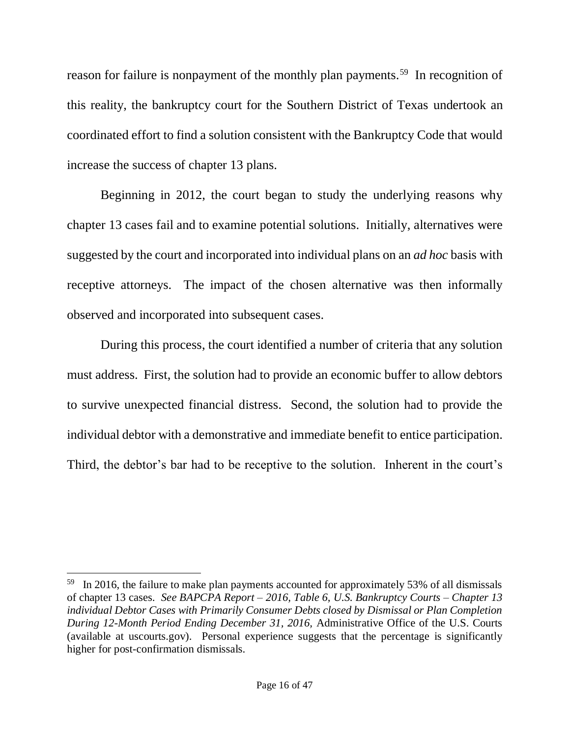reason for failure is nonpayment of the monthly plan payments.<sup>59</sup> In recognition of this reality, the bankruptcy court for the Southern District of Texas undertook an coordinated effort to find a solution consistent with the Bankruptcy Code that would increase the success of chapter 13 plans.

Beginning in 2012, the court began to study the underlying reasons why chapter 13 cases fail and to examine potential solutions. Initially, alternatives were suggested by the court and incorporated into individual plans on an *ad hoc* basis with receptive attorneys. The impact of the chosen alternative was then informally observed and incorporated into subsequent cases.

During this process, the court identified a number of criteria that any solution must address. First, the solution had to provide an economic buffer to allow debtors to survive unexpected financial distress. Second, the solution had to provide the individual debtor with a demonstrative and immediate benefit to entice participation. Third, the debtor's bar had to be receptive to the solution. Inherent in the court's

<sup>&</sup>lt;sup>59</sup> In 2016, the failure to make plan payments accounted for approximately 53% of all dismissals of chapter 13 cases. *See BAPCPA Report – 2016, Table 6, U.S. Bankruptcy Courts – Chapter 13 individual Debtor Cases with Primarily Consumer Debts closed by Dismissal or Plan Completion During 12-Month Period Ending December 31, 2016,* Administrative Office of the U.S. Courts (available at uscourts.gov). Personal experience suggests that the percentage is significantly higher for post-confirmation dismissals.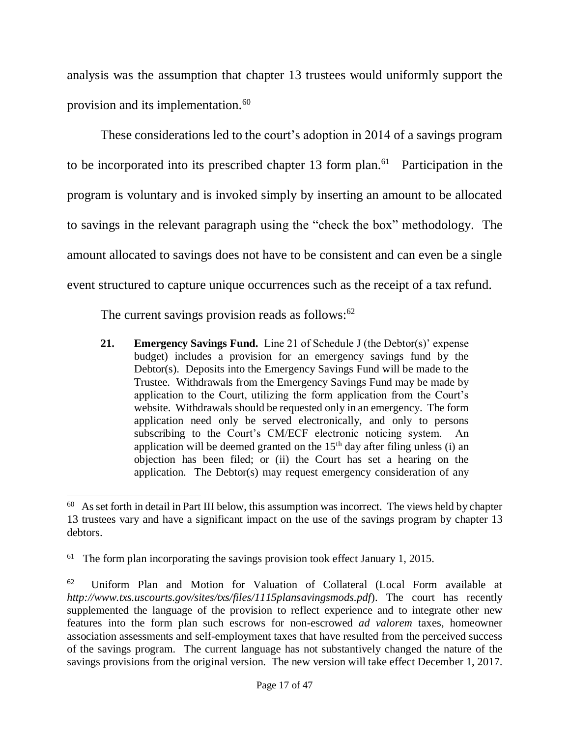analysis was the assumption that chapter 13 trustees would uniformly support the provision and its implementation.<sup>60</sup>

These considerations led to the court's adoption in 2014 of a savings program to be incorporated into its prescribed chapter 13 form plan.<sup>61</sup> Participation in the program is voluntary and is invoked simply by inserting an amount to be allocated to savings in the relevant paragraph using the "check the box" methodology. The amount allocated to savings does not have to be consistent and can even be a single event structured to capture unique occurrences such as the receipt of a tax refund.

The current savings provision reads as follows:<sup>62</sup>

**21. Emergency Savings Fund.** Line 21 of Schedule J (the Debtor(s)' expense budget) includes a provision for an emergency savings fund by the Debtor(s). Deposits into the Emergency Savings Fund will be made to the Trustee. Withdrawals from the Emergency Savings Fund may be made by application to the Court, utilizing the form application from the Court's website. Withdrawals should be requested only in an emergency. The form application need only be served electronically, and only to persons subscribing to the Court's CM/ECF electronic noticing system. An application will be deemed granted on the  $15<sup>th</sup>$  day after filing unless (i) an objection has been filed; or (ii) the Court has set a hearing on the application. The Debtor(s) may request emergency consideration of any

 $\overline{a}$ <sup>60</sup> As set forth in detail in Part III below, this assumption was incorrect. The views held by chapter 13 trustees vary and have a significant impact on the use of the savings program by chapter 13 debtors.

<sup>61</sup> The form plan incorporating the savings provision took effect January 1, 2015.

<sup>62</sup> Uniform Plan and Motion for Valuation of Collateral (Local Form available at *http://www.txs.uscourts.gov/sites/txs/files/1115plansavingsmods.pdf*). The court has recently supplemented the language of the provision to reflect experience and to integrate other new features into the form plan such escrows for non-escrowed *ad valorem* taxes, homeowner association assessments and self-employment taxes that have resulted from the perceived success of the savings program. The current language has not substantively changed the nature of the savings provisions from the original version. The new version will take effect December 1, 2017.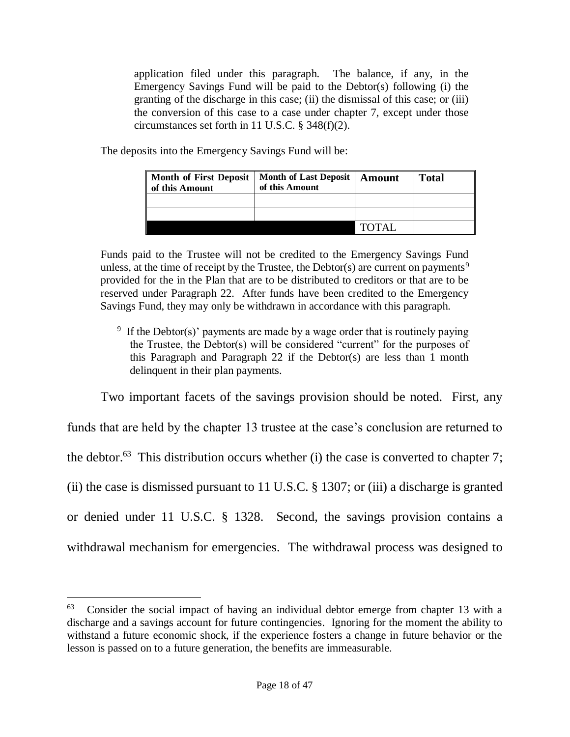application filed under this paragraph. The balance, if any, in the Emergency Savings Fund will be paid to the Debtor(s) following (i) the granting of the discharge in this case; (ii) the dismissal of this case; or (iii) the conversion of this case to a case under chapter 7, except under those circumstances set forth in 11 U.S.C. § 348(f)(2).

The deposits into the Emergency Savings Fund will be:

| <b>Month of First Deposit</b><br>of this Amount | <b>Month of Last Deposit</b><br>of this Amount | Amount       | <b>Total</b> |
|-------------------------------------------------|------------------------------------------------|--------------|--------------|
|                                                 |                                                |              |              |
|                                                 |                                                |              |              |
|                                                 |                                                | <b>TOTAL</b> |              |

Funds paid to the Trustee will not be credited to the Emergency Savings Fund unless, at the time of receipt by the Trustee, the Debtor(s) are current on payments<sup>9</sup> provided for the in the Plan that are to be distributed to creditors or that are to be reserved under Paragraph 22. After funds have been credited to the Emergency Savings Fund, they may only be withdrawn in accordance with this paragraph.

<sup>9</sup> If the Debtor(s)' payments are made by a wage order that is routinely paying the Trustee, the Debtor(s) will be considered "current" for the purposes of this Paragraph and Paragraph 22 if the Debtor(s) are less than 1 month delinquent in their plan payments.

Two important facets of the savings provision should be noted. First, any

funds that are held by the chapter 13 trustee at the case's conclusion are returned to the debtor.<sup>63</sup> This distribution occurs whether (i) the case is converted to chapter 7; (ii) the case is dismissed pursuant to 11 U.S.C. § 1307; or (iii) a discharge is granted or denied under 11 U.S.C. § 1328. Second, the savings provision contains a withdrawal mechanism for emergencies. The withdrawal process was designed to

<sup>63</sup> Consider the social impact of having an individual debtor emerge from chapter 13 with a discharge and a savings account for future contingencies. Ignoring for the moment the ability to withstand a future economic shock, if the experience fosters a change in future behavior or the lesson is passed on to a future generation, the benefits are immeasurable.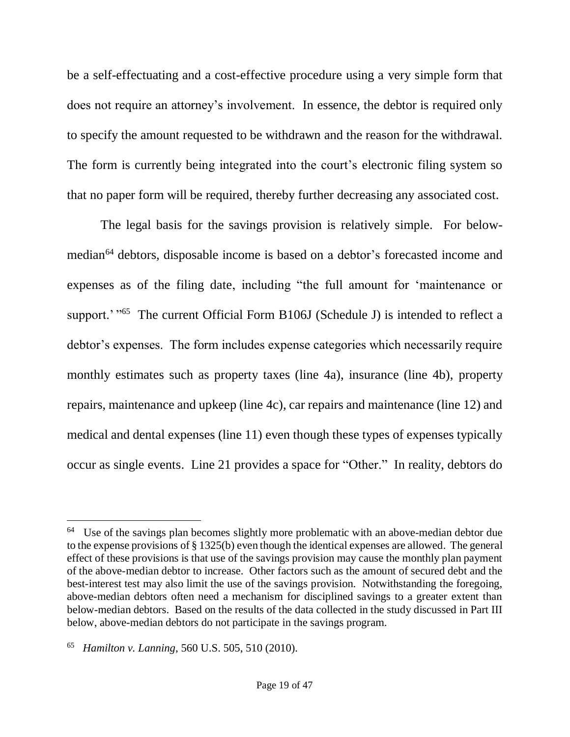be a self-effectuating and a cost-effective procedure using a very simple form that does not require an attorney's involvement. In essence, the debtor is required only to specify the amount requested to be withdrawn and the reason for the withdrawal. The form is currently being integrated into the court's electronic filing system so that no paper form will be required, thereby further decreasing any associated cost.

<span id="page-18-0"></span>The legal basis for the savings provision is relatively simple. For belowmedian<sup>64</sup> debtors, disposable income is based on a debtor's forecasted income and expenses as of the filing date, including "the full amount for 'maintenance or support.' "<sup>65</sup> The current Official Form B106J (Schedule J) is intended to reflect a debtor's expenses. The form includes expense categories which necessarily require monthly estimates such as property taxes (line 4a), insurance (line 4b), property repairs, maintenance and upkeep (line 4c), car repairs and maintenance (line 12) and medical and dental expenses (line 11) even though these types of expenses typically occur as single events. Line 21 provides a space for "Other." In reality, debtors do

<sup>&</sup>lt;sup>64</sup> Use of the savings plan becomes slightly more problematic with an above-median debtor due to the expense provisions of § 1325(b) even though the identical expenses are allowed. The general effect of these provisions is that use of the savings provision may cause the monthly plan payment of the above-median debtor to increase. Other factors such as the amount of secured debt and the best-interest test may also limit the use of the savings provision. Notwithstanding the foregoing, above-median debtors often need a mechanism for disciplined savings to a greater extent than below-median debtors. Based on the results of the data collected in the study discussed in Part III below, above-median debtors do not participate in the savings program.

<sup>65</sup> *Hamilton v. Lanning*, 560 U.S. 505, 510 (2010).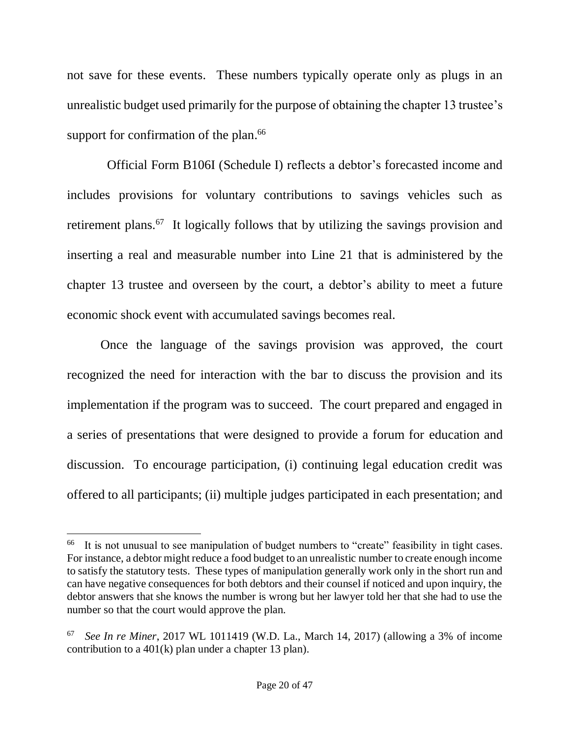not save for these events. These numbers typically operate only as plugs in an unrealistic budget used primarily for the purpose of obtaining the chapter 13 trustee's support for confirmation of the plan.<sup>66</sup>

 Official Form B106I (Schedule I) reflects a debtor's forecasted income and includes provisions for voluntary contributions to savings vehicles such as retirement plans.<sup>67</sup> It logically follows that by utilizing the savings provision and inserting a real and measurable number into Line 21 that is administered by the chapter 13 trustee and overseen by the court, a debtor's ability to meet a future economic shock event with accumulated savings becomes real.

Once the language of the savings provision was approved, the court recognized the need for interaction with the bar to discuss the provision and its implementation if the program was to succeed. The court prepared and engaged in a series of presentations that were designed to provide a forum for education and discussion. To encourage participation, (i) continuing legal education credit was offered to all participants; (ii) multiple judges participated in each presentation; and

<sup>&</sup>lt;sup>66</sup> It is not unusual to see manipulation of budget numbers to "create" feasibility in tight cases. For instance, a debtor might reduce a food budget to an unrealistic number to create enough income to satisfy the statutory tests. These types of manipulation generally work only in the short run and can have negative consequences for both debtors and their counsel if noticed and upon inquiry, the debtor answers that she knows the number is wrong but her lawyer told her that she had to use the number so that the court would approve the plan.

<sup>67</sup> *See In re Miner*, 2017 WL 1011419 (W.D. La., March 14, 2017) (allowing a 3% of income contribution to a 401(k) plan under a chapter 13 plan).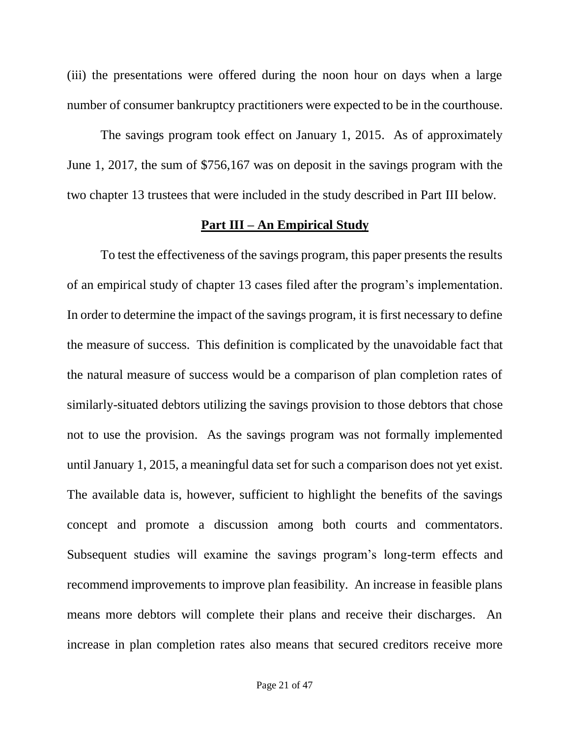(iii) the presentations were offered during the noon hour on days when a large number of consumer bankruptcy practitioners were expected to be in the courthouse.

The savings program took effect on January 1, 2015. As of approximately June 1, 2017, the sum of \$756,167 was on deposit in the savings program with the two chapter 13 trustees that were included in the study described in Part III below.

### **Part III – An Empirical Study**

To test the effectiveness of the savings program, this paper presents the results of an empirical study of chapter 13 cases filed after the program's implementation. In order to determine the impact of the savings program, it is first necessary to define the measure of success. This definition is complicated by the unavoidable fact that the natural measure of success would be a comparison of plan completion rates of similarly-situated debtors utilizing the savings provision to those debtors that chose not to use the provision. As the savings program was not formally implemented until January 1, 2015, a meaningful data set for such a comparison does not yet exist. The available data is, however, sufficient to highlight the benefits of the savings concept and promote a discussion among both courts and commentators. Subsequent studies will examine the savings program's long-term effects and recommend improvements to improve plan feasibility. An increase in feasible plans means more debtors will complete their plans and receive their discharges. An increase in plan completion rates also means that secured creditors receive more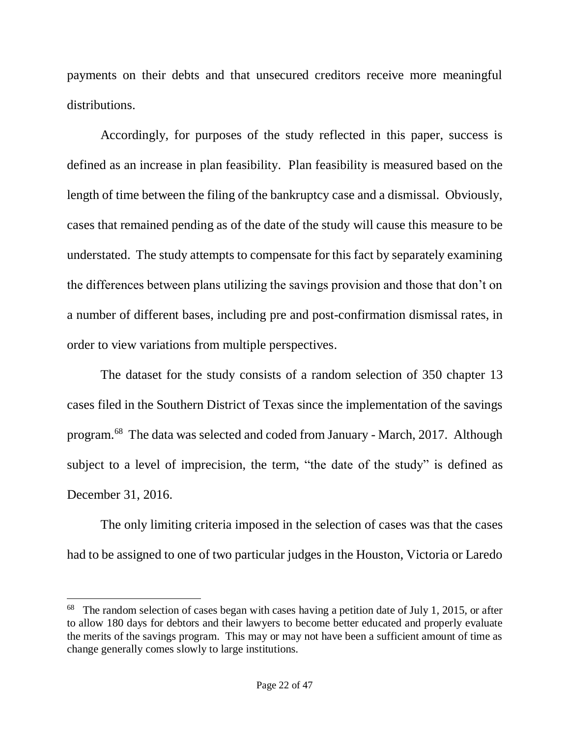payments on their debts and that unsecured creditors receive more meaningful distributions.

Accordingly, for purposes of the study reflected in this paper, success is defined as an increase in plan feasibility. Plan feasibility is measured based on the length of time between the filing of the bankruptcy case and a dismissal. Obviously, cases that remained pending as of the date of the study will cause this measure to be understated. The study attempts to compensate for this fact by separately examining the differences between plans utilizing the savings provision and those that don't on a number of different bases, including pre and post-confirmation dismissal rates, in order to view variations from multiple perspectives.

The dataset for the study consists of a random selection of 350 chapter 13 cases filed in the Southern District of Texas since the implementation of the savings program. 68 The data was selected and coded from January - March, 2017. Although subject to a level of imprecision, the term, "the date of the study" is defined as December 31, 2016.

The only limiting criteria imposed in the selection of cases was that the cases had to be assigned to one of two particular judges in the Houston, Victoria or Laredo

<sup>&</sup>lt;sup>68</sup> The random selection of cases began with cases having a petition date of July 1, 2015, or after to allow 180 days for debtors and their lawyers to become better educated and properly evaluate the merits of the savings program. This may or may not have been a sufficient amount of time as change generally comes slowly to large institutions.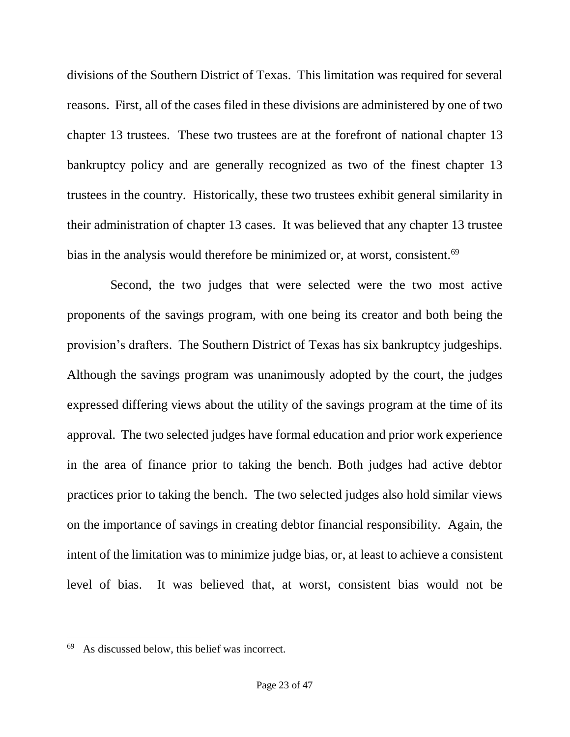divisions of the Southern District of Texas. This limitation was required for several reasons. First, all of the cases filed in these divisions are administered by one of two chapter 13 trustees. These two trustees are at the forefront of national chapter 13 bankruptcy policy and are generally recognized as two of the finest chapter 13 trustees in the country. Historically, these two trustees exhibit general similarity in their administration of chapter 13 cases. It was believed that any chapter 13 trustee bias in the analysis would therefore be minimized or, at worst, consistent.<sup>69</sup>

 Second, the two judges that were selected were the two most active proponents of the savings program, with one being its creator and both being the provision's drafters. The Southern District of Texas has six bankruptcy judgeships. Although the savings program was unanimously adopted by the court, the judges expressed differing views about the utility of the savings program at the time of its approval. The two selected judges have formal education and prior work experience in the area of finance prior to taking the bench. Both judges had active debtor practices prior to taking the bench. The two selected judges also hold similar views on the importance of savings in creating debtor financial responsibility. Again, the intent of the limitation was to minimize judge bias, or, at least to achieve a consistent level of bias. It was believed that, at worst, consistent bias would not be

<sup>69</sup> As discussed below, this belief was incorrect.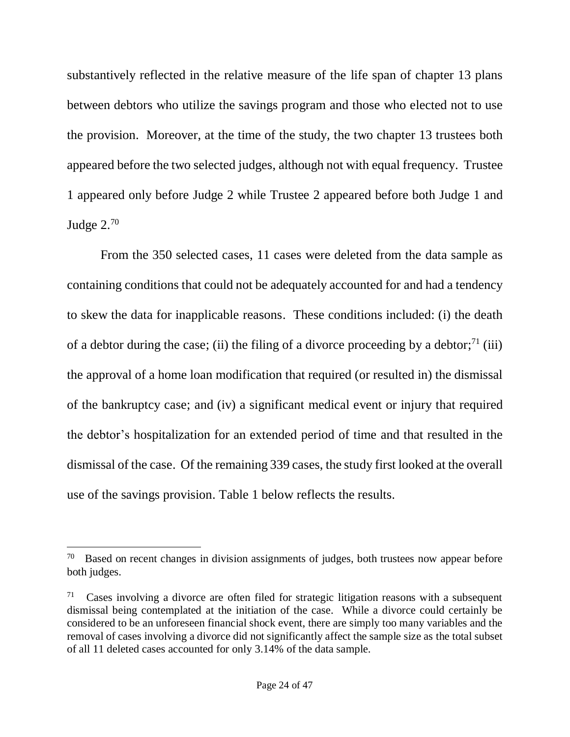substantively reflected in the relative measure of the life span of chapter 13 plans between debtors who utilize the savings program and those who elected not to use the provision. Moreover, at the time of the study, the two chapter 13 trustees both appeared before the two selected judges, although not with equal frequency. Trustee 1 appeared only before Judge 2 while Trustee 2 appeared before both Judge 1 and Judge 2.<sup>70</sup>

From the 350 selected cases, 11 cases were deleted from the data sample as containing conditions that could not be adequately accounted for and had a tendency to skew the data for inapplicable reasons. These conditions included: (i) the death of a debtor during the case; (ii) the filing of a divorce proceeding by a debtor;<sup>71</sup> (iii) the approval of a home loan modification that required (or resulted in) the dismissal of the bankruptcy case; and (iv) a significant medical event or injury that required the debtor's hospitalization for an extended period of time and that resulted in the dismissal of the case. Of the remaining 339 cases, the study first looked at the overall use of the savings provision. Table 1 below reflects the results.

 $70$  Based on recent changes in division assignments of judges, both trustees now appear before both judges.

<sup>71</sup> Cases involving a divorce are often filed for strategic litigation reasons with a subsequent dismissal being contemplated at the initiation of the case. While a divorce could certainly be considered to be an unforeseen financial shock event, there are simply too many variables and the removal of cases involving a divorce did not significantly affect the sample size as the total subset of all 11 deleted cases accounted for only 3.14% of the data sample.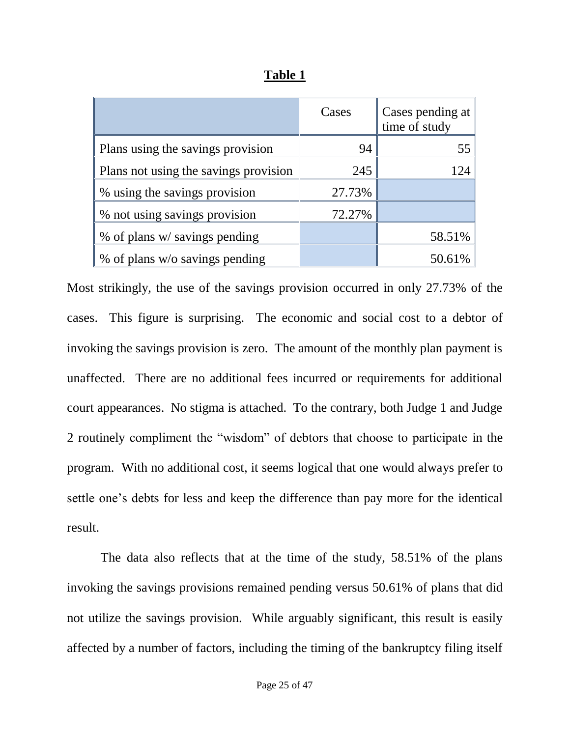|                                       | Cases  | Cases pending at<br>time of study |
|---------------------------------------|--------|-----------------------------------|
| Plans using the savings provision     | 94     | 55                                |
| Plans not using the savings provision | 245    | 124                               |
| % using the savings provision         | 27.73% |                                   |
| % not using savings provision         | 72.27% |                                   |
| % of plans w/ savings pending         |        | 58.51%                            |
| % of plans w/o savings pending        |        | 50.61%                            |

**Table 1**

Most strikingly, the use of the savings provision occurred in only 27.73% of the cases. This figure is surprising. The economic and social cost to a debtor of invoking the savings provision is zero. The amount of the monthly plan payment is unaffected. There are no additional fees incurred or requirements for additional court appearances. No stigma is attached. To the contrary, both Judge 1 and Judge 2 routinely compliment the "wisdom" of debtors that choose to participate in the program. With no additional cost, it seems logical that one would always prefer to settle one's debts for less and keep the difference than pay more for the identical result.

The data also reflects that at the time of the study, 58.51% of the plans invoking the savings provisions remained pending versus 50.61% of plans that did not utilize the savings provision. While arguably significant, this result is easily affected by a number of factors, including the timing of the bankruptcy filing itself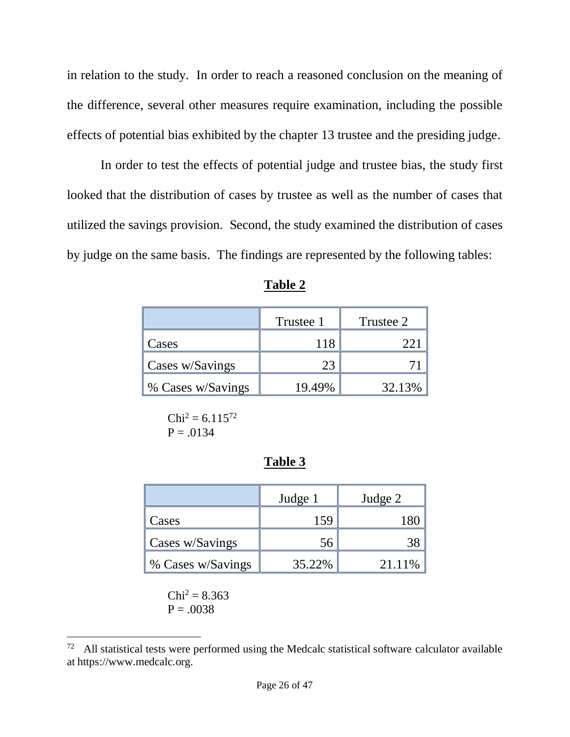in relation to the study. In order to reach a reasoned conclusion on the meaning of the difference, several other measures require examination, including the possible effects of potential bias exhibited by the chapter 13 trustee and the presiding judge.

In order to test the effects of potential judge and trustee bias, the study first looked that the distribution of cases by trustee as well as the number of cases that utilized the savings provision. Second, the study examined the distribution of cases by judge on the same basis. The findings are represented by the following tables:

|                    | Trustee 1 | Trustee 2 |
|--------------------|-----------|-----------|
| Cases              |           |           |
| Cases w/Savings    |           |           |
| \% Cases w/Savings | 19.49%    | 32.13%    |

| ını<br>16<br>. .<br>и |
|-----------------------|
|-----------------------|

 $Chi<sup>2</sup> = 6.115<sup>72</sup>$  $P = .0134$ 

## **Table 3**

|                   | Judge 1 | Judge 2 |
|-------------------|---------|---------|
| Cases             | 159     |         |
| Cases w/Savings   | 56      |         |
| % Cases w/Savings | 35.22%  | 21.11%  |

 $Chi^2 = 8.363$  $P = .0038$ 

 $72$  All statistical tests were performed using the Medcalc statistical software calculator available at https://www.medcalc.org.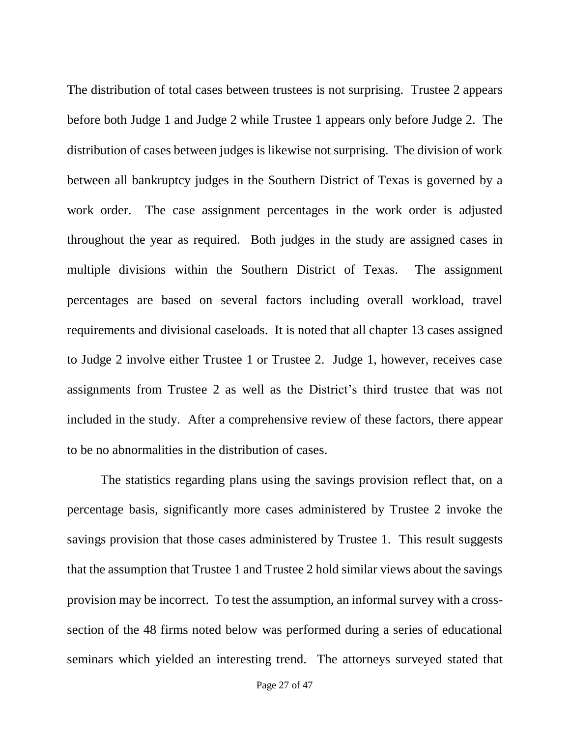The distribution of total cases between trustees is not surprising. Trustee 2 appears before both Judge 1 and Judge 2 while Trustee 1 appears only before Judge 2. The distribution of cases between judges is likewise not surprising. The division of work between all bankruptcy judges in the Southern District of Texas is governed by a work order. The case assignment percentages in the work order is adjusted throughout the year as required. Both judges in the study are assigned cases in multiple divisions within the Southern District of Texas. The assignment percentages are based on several factors including overall workload, travel requirements and divisional caseloads. It is noted that all chapter 13 cases assigned to Judge 2 involve either Trustee 1 or Trustee 2. Judge 1, however, receives case assignments from Trustee 2 as well as the District's third trustee that was not included in the study. After a comprehensive review of these factors, there appear to be no abnormalities in the distribution of cases.

The statistics regarding plans using the savings provision reflect that, on a percentage basis, significantly more cases administered by Trustee 2 invoke the savings provision that those cases administered by Trustee 1. This result suggests that the assumption that Trustee 1 and Trustee 2 hold similar views about the savings provision may be incorrect. To test the assumption, an informal survey with a crosssection of the 48 firms noted below was performed during a series of educational seminars which yielded an interesting trend. The attorneys surveyed stated that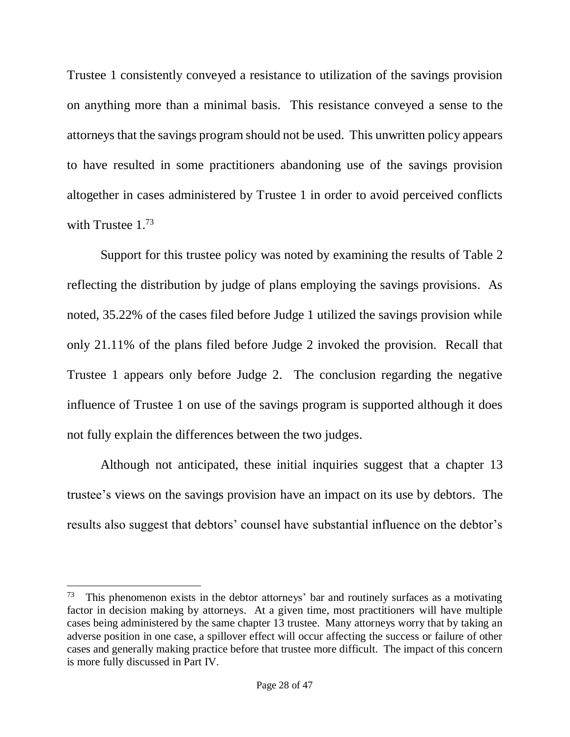Trustee 1 consistently conveyed a resistance to utilization of the savings provision on anything more than a minimal basis. This resistance conveyed a sense to the attorneys that the savings program should not be used. This unwritten policy appears to have resulted in some practitioners abandoning use of the savings provision altogether in cases administered by Trustee 1 in order to avoid perceived conflicts with Trustee 1.<sup>73</sup>

Support for this trustee policy was noted by examining the results of Table 2 reflecting the distribution by judge of plans employing the savings provisions. As noted, 35.22% of the cases filed before Judge 1 utilized the savings provision while only 21.11% of the plans filed before Judge 2 invoked the provision. Recall that Trustee 1 appears only before Judge 2. The conclusion regarding the negative influence of Trustee 1 on use of the savings program is supported although it does not fully explain the differences between the two judges.

Although not anticipated, these initial inquiries suggest that a chapter 13 trustee's views on the savings provision have an impact on its use by debtors. The results also suggest that debtors' counsel have substantial influence on the debtor's

<sup>73</sup> This phenomenon exists in the debtor attorneys' bar and routinely surfaces as a motivating factor in decision making by attorneys. At a given time, most practitioners will have multiple cases being administered by the same chapter 13 trustee. Many attorneys worry that by taking an adverse position in one case, a spillover effect will occur affecting the success or failure of other cases and generally making practice before that trustee more difficult. The impact of this concern is more fully discussed in Part IV.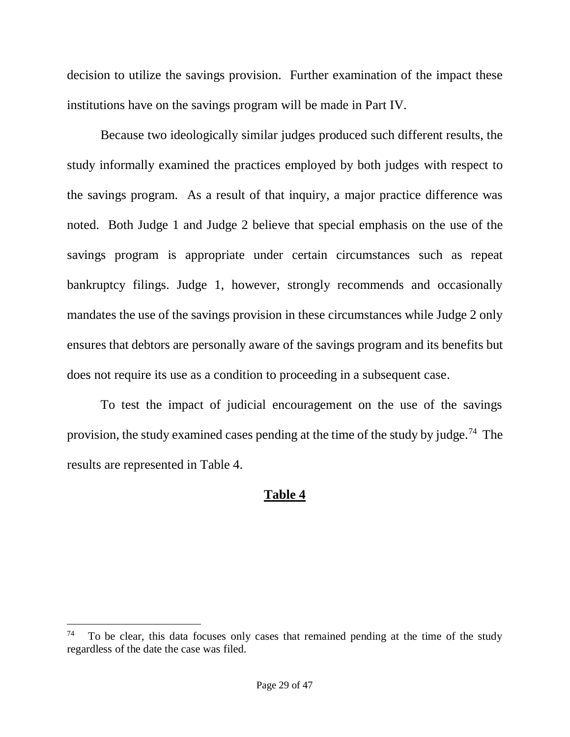decision to utilize the savings provision. Further examination of the impact these institutions have on the savings program will be made in Part IV.

Because two ideologically similar judges produced such different results, the study informally examined the practices employed by both judges with respect to the savings program. As a result of that inquiry, a major practice difference was noted. Both Judge 1 and Judge 2 believe that special emphasis on the use of the savings program is appropriate under certain circumstances such as repeat bankruptcy filings. Judge 1, however, strongly recommends and occasionally mandates the use of the savings provision in these circumstances while Judge 2 only ensures that debtors are personally aware of the savings program and its benefits but does not require its use as a condition to proceeding in a subsequent case.

To test the impact of judicial encouragement on the use of the savings provision, the study examined cases pending at the time of the study by judge.<sup>74</sup> The results are represented in Table 4.

# **Table 4**

<sup>74</sup> To be clear, this data focuses only cases that remained pending at the time of the study regardless of the date the case was filed.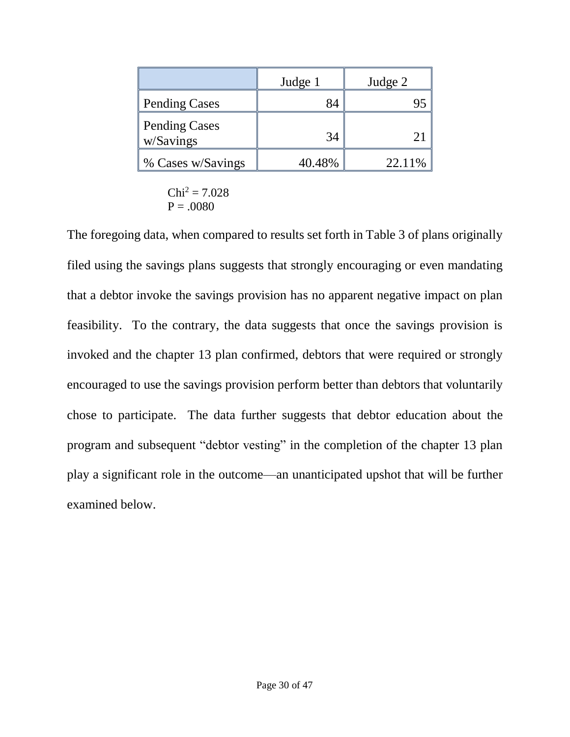|                            | Judge 1 | Judge 2 |
|----------------------------|---------|---------|
| Pending Cases              |         |         |
| Pending Cases<br>w/Savings | 34      |         |
| ∥% Cases w/Savings         | 40.48%  | 22.11%  |

$$
\text{Chi}^2 = 7.028
$$

$$
\text{P} = .0080
$$

The foregoing data, when compared to results set forth in Table 3 of plans originally filed using the savings plans suggests that strongly encouraging or even mandating that a debtor invoke the savings provision has no apparent negative impact on plan feasibility. To the contrary, the data suggests that once the savings provision is invoked and the chapter 13 plan confirmed, debtors that were required or strongly encouraged to use the savings provision perform better than debtors that voluntarily chose to participate. The data further suggests that debtor education about the program and subsequent "debtor vesting" in the completion of the chapter 13 plan play a significant role in the outcome—an unanticipated upshot that will be further examined below.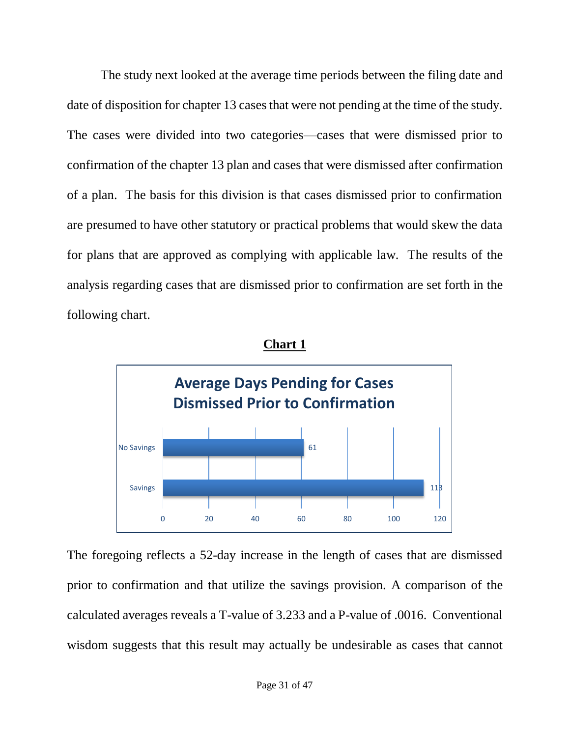The study next looked at the average time periods between the filing date and date of disposition for chapter 13 cases that were not pending at the time of the study. The cases were divided into two categories—cases that were dismissed prior to confirmation of the chapter 13 plan and cases that were dismissed after confirmation of a plan. The basis for this division is that cases dismissed prior to confirmation are presumed to have other statutory or practical problems that would skew the data for plans that are approved as complying with applicable law. The results of the analysis regarding cases that are dismissed prior to confirmation are set forth in the following chart.



**Chart 1**

The foregoing reflects a 52-day increase in the length of cases that are dismissed prior to confirmation and that utilize the savings provision. A comparison of the calculated averages reveals a T-value of 3.233 and a P-value of .0016. Conventional wisdom suggests that this result may actually be undesirable as cases that cannot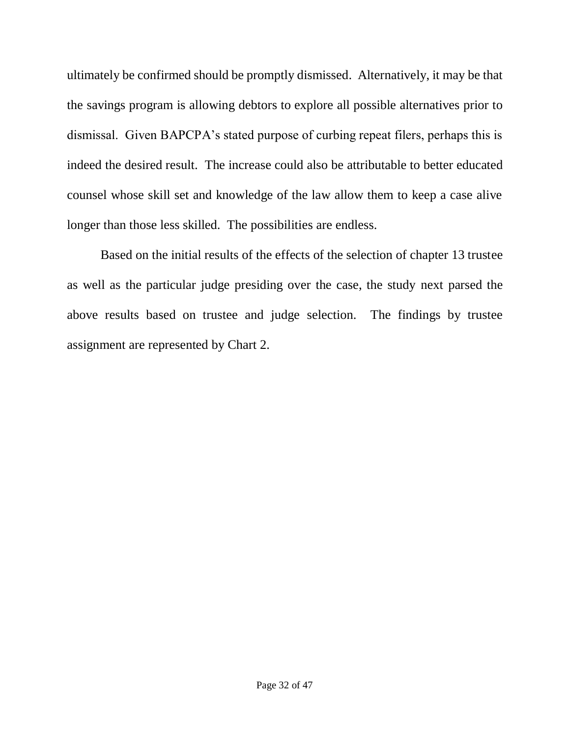ultimately be confirmed should be promptly dismissed. Alternatively, it may be that the savings program is allowing debtors to explore all possible alternatives prior to dismissal. Given BAPCPA's stated purpose of curbing repeat filers, perhaps this is indeed the desired result. The increase could also be attributable to better educated counsel whose skill set and knowledge of the law allow them to keep a case alive longer than those less skilled. The possibilities are endless.

Based on the initial results of the effects of the selection of chapter 13 trustee as well as the particular judge presiding over the case, the study next parsed the above results based on trustee and judge selection. The findings by trustee assignment are represented by Chart 2.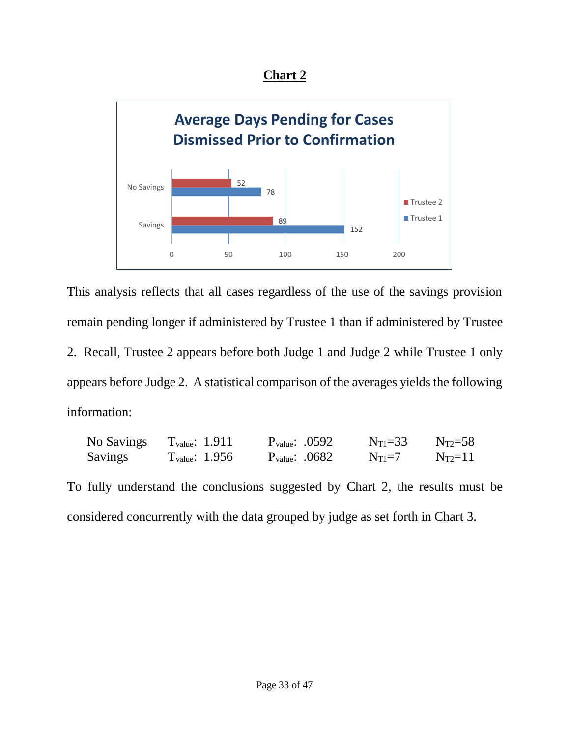**Chart 2**



This analysis reflects that all cases regardless of the use of the savings provision remain pending longer if administered by Trustee 1 than if administered by Trustee 2. Recall, Trustee 2 appears before both Judge 1 and Judge 2 while Trustee 1 only appears before Judge 2. A statistical comparison of the averages yields the following information:

| No Savings     | $T_{value}: 1.911$         | $P_{value}: .0592$ | $N_{\text{T1}} = 33$ | $N_{T2}=58$ |
|----------------|----------------------------|--------------------|----------------------|-------------|
| <b>Savings</b> | $T_{\text{value}}$ : 1.956 | $P_{value}: .0682$ | $N_{T1}=7$           | $N_{T2}=11$ |

To fully understand the conclusions suggested by Chart 2, the results must be considered concurrently with the data grouped by judge as set forth in Chart 3.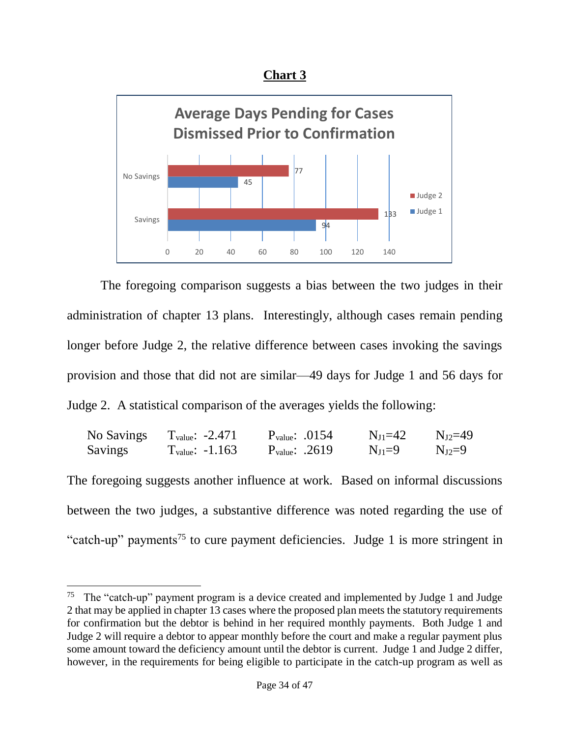



The foregoing comparison suggests a bias between the two judges in their administration of chapter 13 plans. Interestingly, although cases remain pending longer before Judge 2, the relative difference between cases invoking the savings provision and those that did not are similar—49 days for Judge 1 and 56 days for Judge 2. A statistical comparison of the averages yields the following:

| No Savings     | $T_{value}: -2.471$         | $P_{value}: .0154$ | $N_{II} = 42$ | $N_{12}=49$ |
|----------------|-----------------------------|--------------------|---------------|-------------|
| <b>Savings</b> | $T_{\text{value}}$ : -1.163 | $P_{value}: .2619$ | $N_{J1}=9$    | $N_{J2}=9$  |

The foregoing suggests another influence at work. Based on informal discussions between the two judges, a substantive difference was noted regarding the use of "catch-up" payments<sup>75</sup> to cure payment deficiencies. Judge 1 is more stringent in

<sup>75</sup> The "catch-up" payment program is a device created and implemented by Judge 1 and Judge 2 that may be applied in chapter 13 cases where the proposed plan meets the statutory requirements for confirmation but the debtor is behind in her required monthly payments. Both Judge 1 and Judge 2 will require a debtor to appear monthly before the court and make a regular payment plus some amount toward the deficiency amount until the debtor is current. Judge 1 and Judge 2 differ, however, in the requirements for being eligible to participate in the catch-up program as well as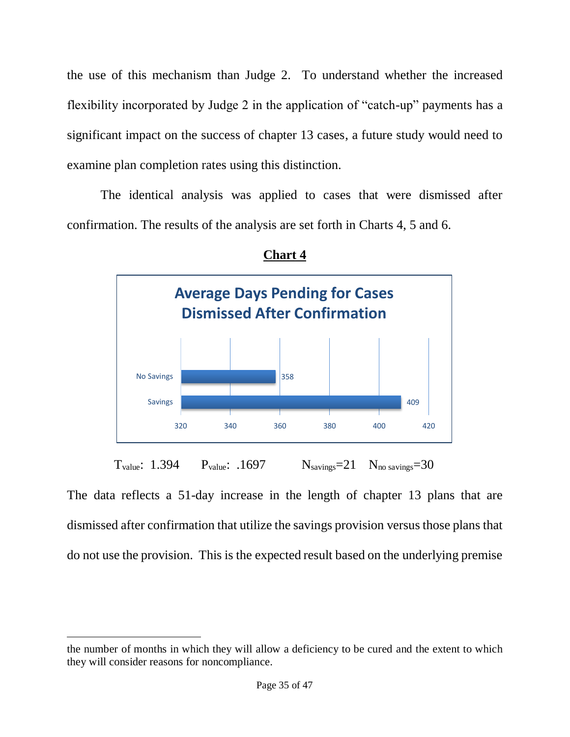the use of this mechanism than Judge 2. To understand whether the increased flexibility incorporated by Judge 2 in the application of "catch-up" payments has a significant impact on the success of chapter 13 cases, a future study would need to examine plan completion rates using this distinction.

The identical analysis was applied to cases that were dismissed after confirmation. The results of the analysis are set forth in Charts 4, 5 and 6.





The data reflects a 51-day increase in the length of chapter 13 plans that are dismissed after confirmation that utilize the savings provision versus those plans that do not use the provision. This is the expected result based on the underlying premise

the number of months in which they will allow a deficiency to be cured and the extent to which they will consider reasons for noncompliance.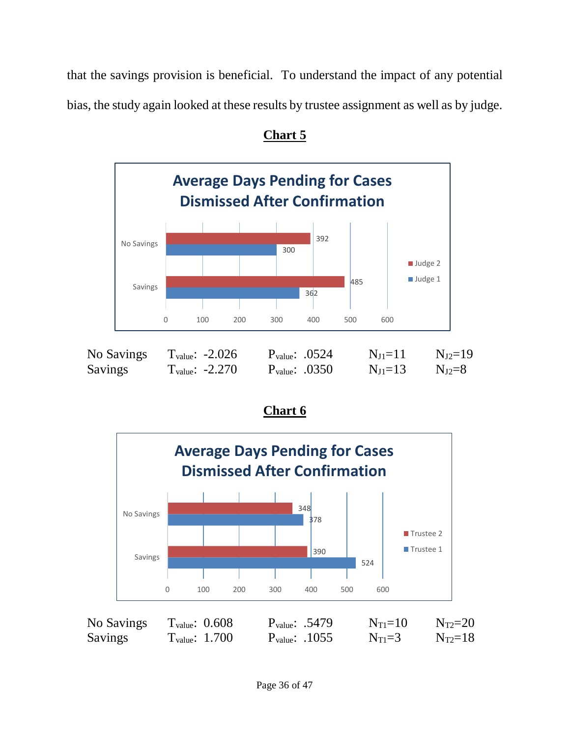that the savings provision is beneficial. To understand the impact of any potential bias, the study again looked at these results by trustee assignment as well as by judge.



**Chart 5**

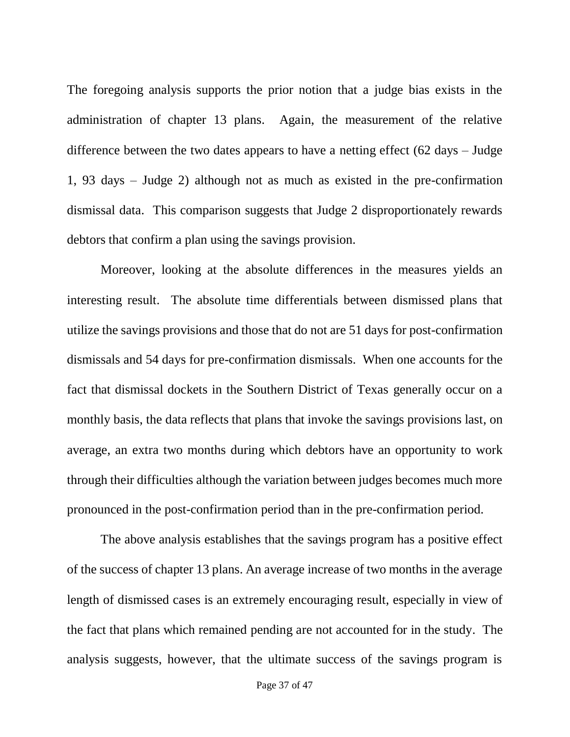The foregoing analysis supports the prior notion that a judge bias exists in the administration of chapter 13 plans. Again, the measurement of the relative difference between the two dates appears to have a netting effect (62 days – Judge 1, 93 days – Judge 2) although not as much as existed in the pre-confirmation dismissal data. This comparison suggests that Judge 2 disproportionately rewards debtors that confirm a plan using the savings provision.

Moreover, looking at the absolute differences in the measures yields an interesting result. The absolute time differentials between dismissed plans that utilize the savings provisions and those that do not are 51 days for post-confirmation dismissals and 54 days for pre-confirmation dismissals. When one accounts for the fact that dismissal dockets in the Southern District of Texas generally occur on a monthly basis, the data reflects that plans that invoke the savings provisions last, on average, an extra two months during which debtors have an opportunity to work through their difficulties although the variation between judges becomes much more pronounced in the post-confirmation period than in the pre-confirmation period.

The above analysis establishes that the savings program has a positive effect of the success of chapter 13 plans. An average increase of two months in the average length of dismissed cases is an extremely encouraging result, especially in view of the fact that plans which remained pending are not accounted for in the study. The analysis suggests, however, that the ultimate success of the savings program is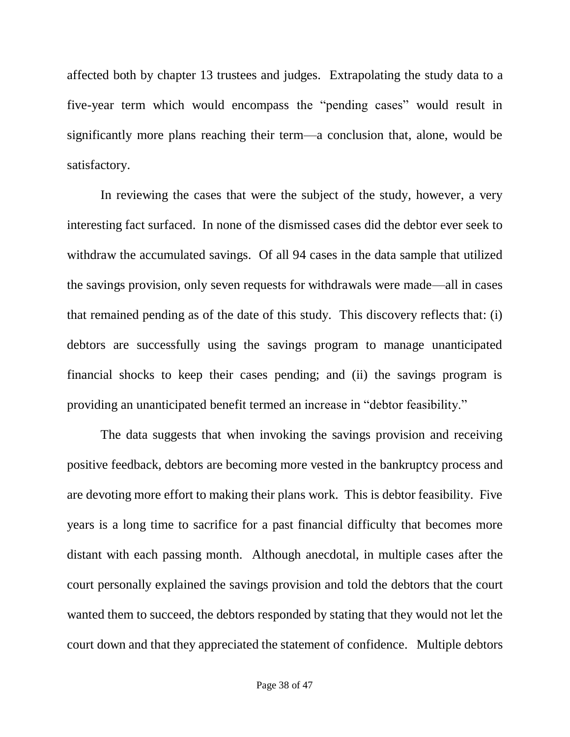affected both by chapter 13 trustees and judges. Extrapolating the study data to a five-year term which would encompass the "pending cases" would result in significantly more plans reaching their term—a conclusion that, alone, would be satisfactory.

In reviewing the cases that were the subject of the study, however, a very interesting fact surfaced. In none of the dismissed cases did the debtor ever seek to withdraw the accumulated savings. Of all 94 cases in the data sample that utilized the savings provision, only seven requests for withdrawals were made—all in cases that remained pending as of the date of this study. This discovery reflects that: (i) debtors are successfully using the savings program to manage unanticipated financial shocks to keep their cases pending; and (ii) the savings program is providing an unanticipated benefit termed an increase in "debtor feasibility."

The data suggests that when invoking the savings provision and receiving positive feedback, debtors are becoming more vested in the bankruptcy process and are devoting more effort to making their plans work. This is debtor feasibility. Five years is a long time to sacrifice for a past financial difficulty that becomes more distant with each passing month. Although anecdotal, in multiple cases after the court personally explained the savings provision and told the debtors that the court wanted them to succeed, the debtors responded by stating that they would not let the court down and that they appreciated the statement of confidence. Multiple debtors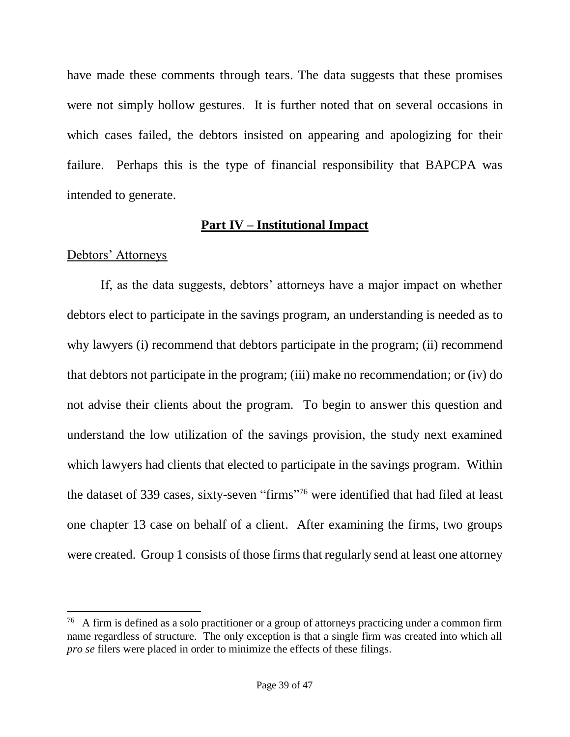have made these comments through tears. The data suggests that these promises were not simply hollow gestures. It is further noted that on several occasions in which cases failed, the debtors insisted on appearing and apologizing for their failure. Perhaps this is the type of financial responsibility that BAPCPA was intended to generate.

## **Part IV – Institutional Impact**

# Debtors' Attorneys

 $\overline{a}$ 

If, as the data suggests, debtors' attorneys have a major impact on whether debtors elect to participate in the savings program, an understanding is needed as to why lawyers (i) recommend that debtors participate in the program; (ii) recommend that debtors not participate in the program; (iii) make no recommendation; or (iv) do not advise their clients about the program. To begin to answer this question and understand the low utilization of the savings provision, the study next examined which lawyers had clients that elected to participate in the savings program. Within the dataset of 339 cases, sixty-seven "firms"<sup>76</sup> were identified that had filed at least one chapter 13 case on behalf of a client. After examining the firms, two groups were created. Group 1 consists of those firms that regularly send at least one attorney

<sup>&</sup>lt;sup>76</sup> A firm is defined as a solo practitioner or a group of attorneys practicing under a common firm name regardless of structure. The only exception is that a single firm was created into which all *pro se* filers were placed in order to minimize the effects of these filings.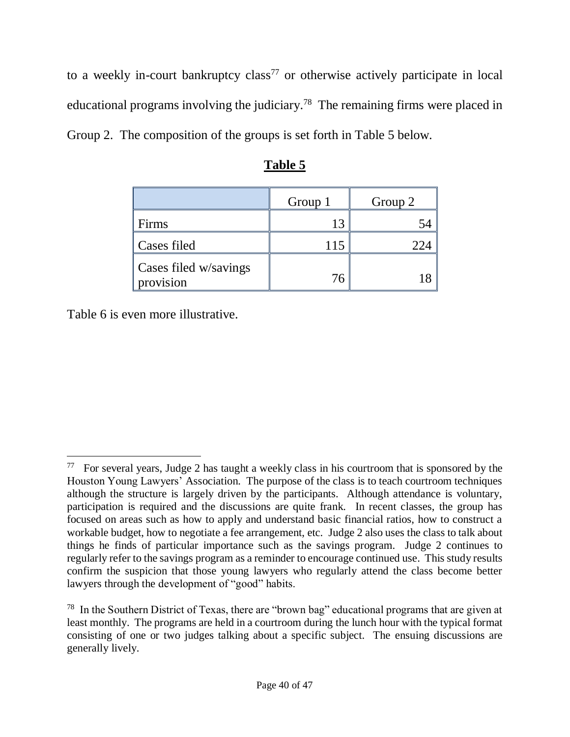to a weekly in-court bankruptcy class<sup>77</sup> or otherwise actively participate in local educational programs involving the judiciary.<sup>78</sup> The remaining firms were placed in Group 2. The composition of the groups is set forth in Table 5 below.

|                                    | Group 1 | Group 2 |
|------------------------------------|---------|---------|
| Firms                              | 13      |         |
| Cases filed                        | 115     | 224     |
| Cases filed w/savings<br>provision | 76      |         |

| ank<br>μ |  |
|----------|--|
|          |  |

Table 6 is even more illustrative.

<sup>&</sup>lt;sup>77</sup> For several years, Judge 2 has taught a weekly class in his courtroom that is sponsored by the Houston Young Lawyers' Association. The purpose of the class is to teach courtroom techniques although the structure is largely driven by the participants. Although attendance is voluntary, participation is required and the discussions are quite frank. In recent classes, the group has focused on areas such as how to apply and understand basic financial ratios, how to construct a workable budget, how to negotiate a fee arrangement, etc. Judge 2 also uses the class to talk about things he finds of particular importance such as the savings program. Judge 2 continues to regularly refer to the savings program as a reminder to encourage continued use. This study results confirm the suspicion that those young lawyers who regularly attend the class become better lawyers through the development of "good" habits.

<sup>78</sup> In the Southern District of Texas, there are "brown bag" educational programs that are given at least monthly. The programs are held in a courtroom during the lunch hour with the typical format consisting of one or two judges talking about a specific subject. The ensuing discussions are generally lively.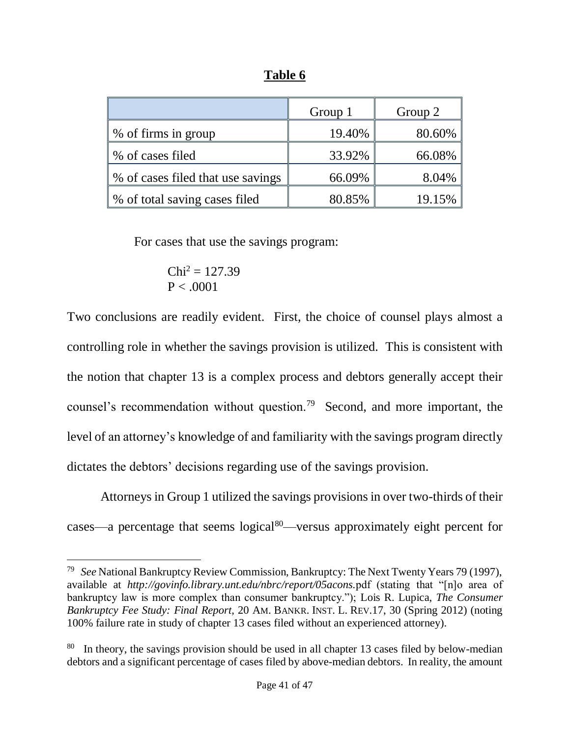|                                   | Group 1 | Group 2 |
|-----------------------------------|---------|---------|
| \% of firms in group              | 19.40%  | 80.60%  |
| % of cases filed                  | 33.92%  | 66.08%  |
| % of cases filed that use savings | 66.09%  | 8.04%   |
| ↓ % of total saving cases filed   | 80.85%  | 19.15%  |

**Table 6**

For cases that use the savings program:

$$
\begin{aligned} \text{Chi}^2 &= 127.39\\ \text{P} &< .0001 \end{aligned}
$$

 $\overline{a}$ 

Two conclusions are readily evident. First, the choice of counsel plays almost a controlling role in whether the savings provision is utilized. This is consistent with the notion that chapter 13 is a complex process and debtors generally accept their counsel's recommendation without question.<sup>79</sup> Second, and more important, the level of an attorney's knowledge of and familiarity with the savings program directly dictates the debtors' decisions regarding use of the savings provision.

Attorneys in Group 1 utilized the savings provisions in over two-thirds of their cases—a percentage that seems  $logical^{80}$ —versus approximately eight percent for

<sup>79</sup> *See* National Bankruptcy Review Commission, Bankruptcy: The Next Twenty Years 79 (1997), available at *http://govinfo.library.unt.edu/nbrc/report/05acons.*pdf (stating that "[n]o area of bankruptcy law is more complex than consumer bankruptcy."); Lois R. Lupica, *The Consumer Bankruptcy Fee Study: Final Report,* 20 AM. BANKR. INST. L. REV.17, 30 (Spring 2012) (noting 100% failure rate in study of chapter 13 cases filed without an experienced attorney).

<sup>&</sup>lt;sup>80</sup> In theory, the savings provision should be used in all chapter 13 cases filed by below-median debtors and a significant percentage of cases filed by above-median debtors. In reality, the amount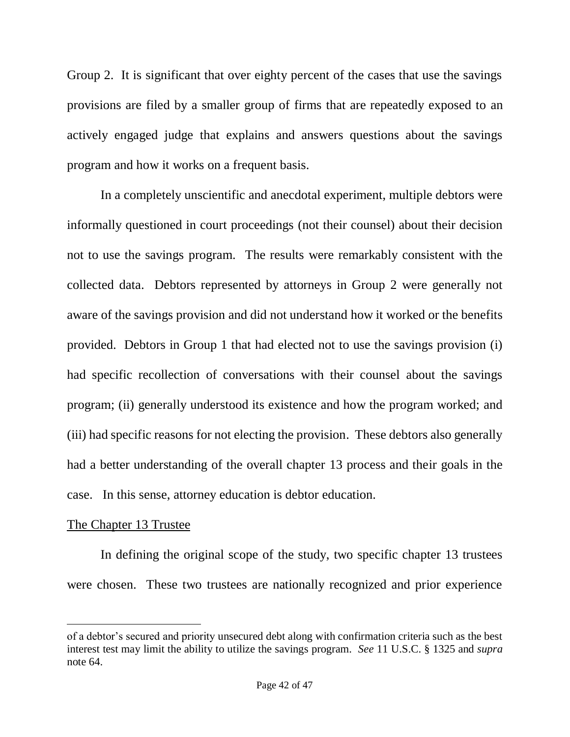Group 2. It is significant that over eighty percent of the cases that use the savings provisions are filed by a smaller group of firms that are repeatedly exposed to an actively engaged judge that explains and answers questions about the savings program and how it works on a frequent basis.

In a completely unscientific and anecdotal experiment, multiple debtors were informally questioned in court proceedings (not their counsel) about their decision not to use the savings program. The results were remarkably consistent with the collected data. Debtors represented by attorneys in Group 2 were generally not aware of the savings provision and did not understand how it worked or the benefits provided. Debtors in Group 1 that had elected not to use the savings provision (i) had specific recollection of conversations with their counsel about the savings program; (ii) generally understood its existence and how the program worked; and (iii) had specific reasons for not electing the provision. These debtors also generally had a better understanding of the overall chapter 13 process and their goals in the case. In this sense, attorney education is debtor education.

## The Chapter 13 Trustee

 $\overline{a}$ 

In defining the original scope of the study, two specific chapter 13 trustees were chosen. These two trustees are nationally recognized and prior experience

of a debtor's secured and priority unsecured debt along with confirmation criteria such as the best interest test may limit the ability to utilize the savings program. *See* 11 U.S.C. § 1325 and *supra* note [64.](#page-18-0)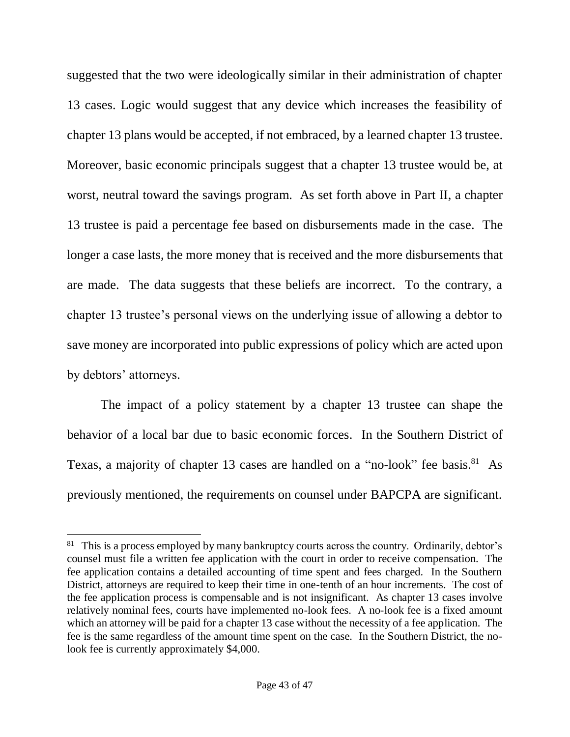suggested that the two were ideologically similar in their administration of chapter 13 cases. Logic would suggest that any device which increases the feasibility of chapter 13 plans would be accepted, if not embraced, by a learned chapter 13 trustee. Moreover, basic economic principals suggest that a chapter 13 trustee would be, at worst, neutral toward the savings program. As set forth above in Part II, a chapter 13 trustee is paid a percentage fee based on disbursements made in the case. The longer a case lasts, the more money that is received and the more disbursements that are made. The data suggests that these beliefs are incorrect. To the contrary, a chapter 13 trustee's personal views on the underlying issue of allowing a debtor to save money are incorporated into public expressions of policy which are acted upon by debtors' attorneys.

The impact of a policy statement by a chapter 13 trustee can shape the behavior of a local bar due to basic economic forces. In the Southern District of Texas, a majority of chapter 13 cases are handled on a "no-look" fee basis.<sup>81</sup> As previously mentioned, the requirements on counsel under BAPCPA are significant.

<sup>&</sup>lt;sup>81</sup> This is a process employed by many bankruptcy courts across the country. Ordinarily, debtor's counsel must file a written fee application with the court in order to receive compensation. The fee application contains a detailed accounting of time spent and fees charged. In the Southern District, attorneys are required to keep their time in one-tenth of an hour increments. The cost of the fee application process is compensable and is not insignificant. As chapter 13 cases involve relatively nominal fees, courts have implemented no-look fees. A no-look fee is a fixed amount which an attorney will be paid for a chapter 13 case without the necessity of a fee application. The fee is the same regardless of the amount time spent on the case. In the Southern District, the nolook fee is currently approximately \$4,000.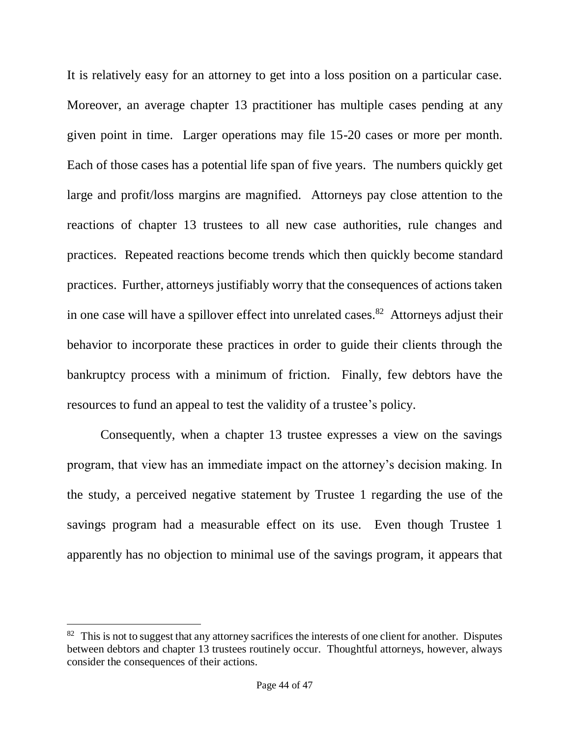It is relatively easy for an attorney to get into a loss position on a particular case. Moreover, an average chapter 13 practitioner has multiple cases pending at any given point in time. Larger operations may file 15-20 cases or more per month. Each of those cases has a potential life span of five years. The numbers quickly get large and profit/loss margins are magnified. Attorneys pay close attention to the reactions of chapter 13 trustees to all new case authorities, rule changes and practices. Repeated reactions become trends which then quickly become standard practices. Further, attorneys justifiably worry that the consequences of actions taken in one case will have a spillover effect into unrelated cases.<sup>82</sup> Attorneys adjust their behavior to incorporate these practices in order to guide their clients through the bankruptcy process with a minimum of friction. Finally, few debtors have the resources to fund an appeal to test the validity of a trustee's policy.

Consequently, when a chapter 13 trustee expresses a view on the savings program, that view has an immediate impact on the attorney's decision making. In the study, a perceived negative statement by Trustee 1 regarding the use of the savings program had a measurable effect on its use. Even though Trustee 1 apparently has no objection to minimal use of the savings program, it appears that

<sup>&</sup>lt;sup>82</sup> This is not to suggest that any attorney sacrifices the interests of one client for another. Disputes between debtors and chapter 13 trustees routinely occur. Thoughtful attorneys, however, always consider the consequences of their actions.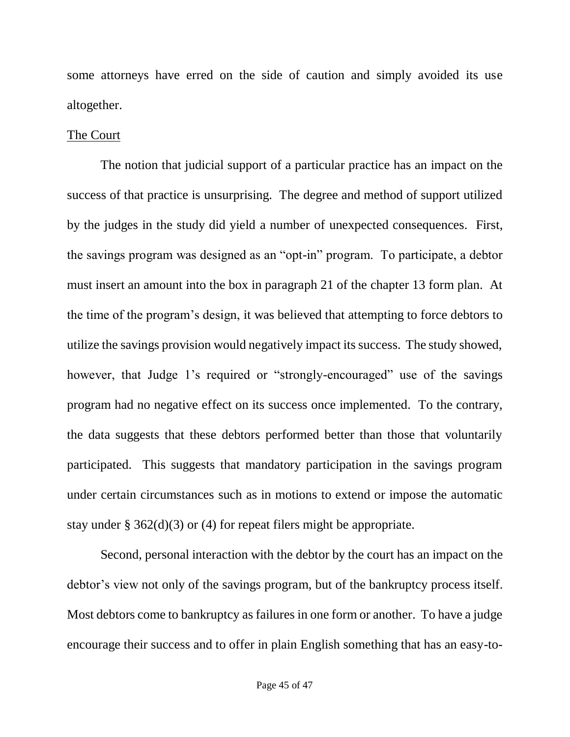some attorneys have erred on the side of caution and simply avoided its use altogether.

## The Court

The notion that judicial support of a particular practice has an impact on the success of that practice is unsurprising. The degree and method of support utilized by the judges in the study did yield a number of unexpected consequences. First, the savings program was designed as an "opt-in" program. To participate, a debtor must insert an amount into the box in paragraph 21 of the chapter 13 form plan. At the time of the program's design, it was believed that attempting to force debtors to utilize the savings provision would negatively impact its success. The study showed, however, that Judge 1's required or "strongly-encouraged" use of the savings program had no negative effect on its success once implemented. To the contrary, the data suggests that these debtors performed better than those that voluntarily participated. This suggests that mandatory participation in the savings program under certain circumstances such as in motions to extend or impose the automatic stay under § 362(d)(3) or (4) for repeat filers might be appropriate.

Second, personal interaction with the debtor by the court has an impact on the debtor's view not only of the savings program, but of the bankruptcy process itself. Most debtors come to bankruptcy as failures in one form or another. To have a judge encourage their success and to offer in plain English something that has an easy-to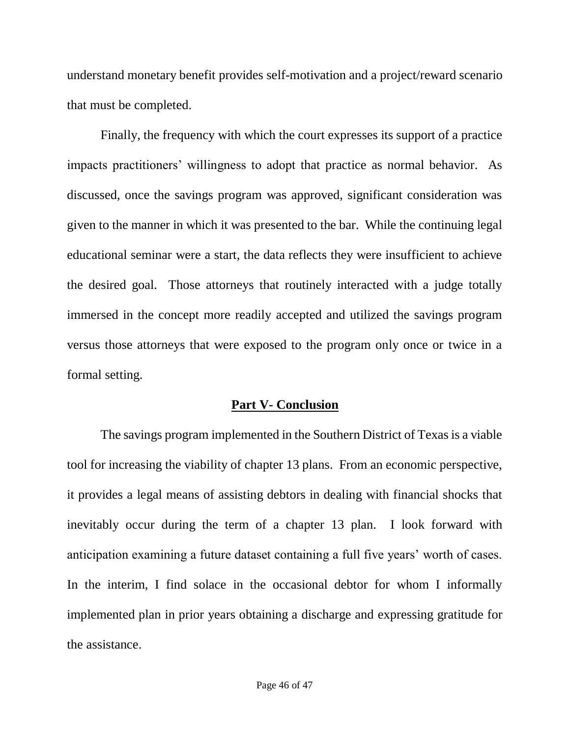understand monetary benefit provides self-motivation and a project/reward scenario that must be completed.

Finally, the frequency with which the court expresses its support of a practice impacts practitioners' willingness to adopt that practice as normal behavior. As discussed, once the savings program was approved, significant consideration was given to the manner in which it was presented to the bar. While the continuing legal educational seminar were a start, the data reflects they were insufficient to achieve the desired goal. Those attorneys that routinely interacted with a judge totally immersed in the concept more readily accepted and utilized the savings program versus those attorneys that were exposed to the program only once or twice in a formal setting.

### **Part V- Conclusion**

The savings program implemented in the Southern District of Texas is a viable tool for increasing the viability of chapter 13 plans. From an economic perspective, it provides a legal means of assisting debtors in dealing with financial shocks that inevitably occur during the term of a chapter 13 plan. I look forward with anticipation examining a future dataset containing a full five years' worth of cases. In the interim, I find solace in the occasional debtor for whom I informally implemented plan in prior years obtaining a discharge and expressing gratitude for the assistance.